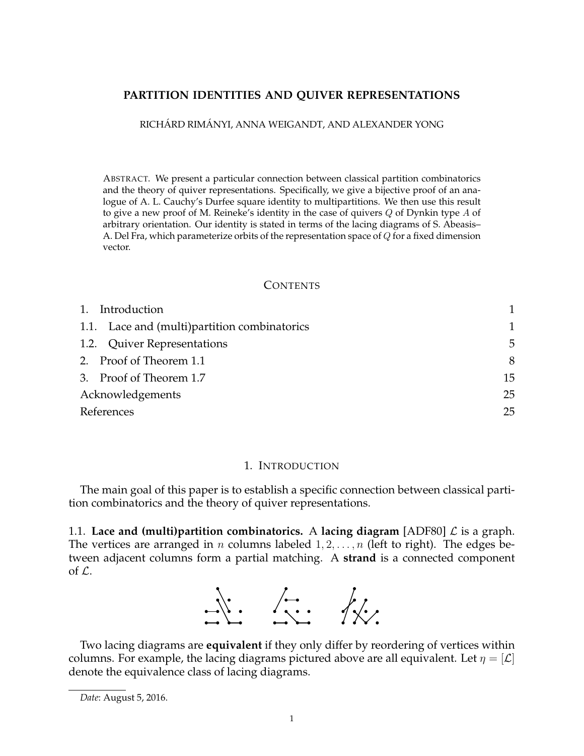# **PARTITION IDENTITIES AND QUIVER REPRESENTATIONS**

RICHÁRD RIMÁNYI, ANNA WEIGANDT, AND ALEXANDER YONG

ABSTRACT. We present a particular connection between classical partition combinatorics and the theory of quiver representations. Specifically, we give a bijective proof of an analogue of A. L. Cauchy's Durfee square identity to multipartitions. We then use this result to give a new proof of M. Reineke's identity in the case of quivers *Q* of Dynkin type *A* of arbitrary orientation. Our identity is stated in terms of the lacing diagrams of S. Abeasis– A. Del Fra, which parameterize orbits of the representation space of *Q* for a fixed dimension vector.

#### **CONTENTS**

| 1. Introduction                              |    |  |
|----------------------------------------------|----|--|
| 1.1. Lace and (multi)partition combinatorics | 1  |  |
| 1.2. Quiver Representations                  | 5  |  |
| 2. Proof of Theorem 1.1                      | 8  |  |
| 3. Proof of Theorem 1.7                      | 15 |  |
| Acknowledgements                             | 25 |  |
| References                                   |    |  |

#### 1. INTRODUCTION

The main goal of this paper is to establish a specific connection between classical partition combinatorics and the theory of quiver representations.

1.1. **Lace and (multi)partition combinatorics.** A **lacing diagram** [ADF80] *L* is a graph. The vertices are arranged in *n* columns labeled 1*,* 2*, . . . , n* (left to right). The edges between adjacent columns form a partial matching. A **strand** is a connected component of *L*.



Two lacing diagrams are **equivalent** if they only differ by reordering of vertices within columns. For example, the lacing diagrams pictured above are all equivalent. Let  $\eta = |\mathcal{L}|$ denote the equivalence class of lacing diagrams.

*Date*: August 5, 2016.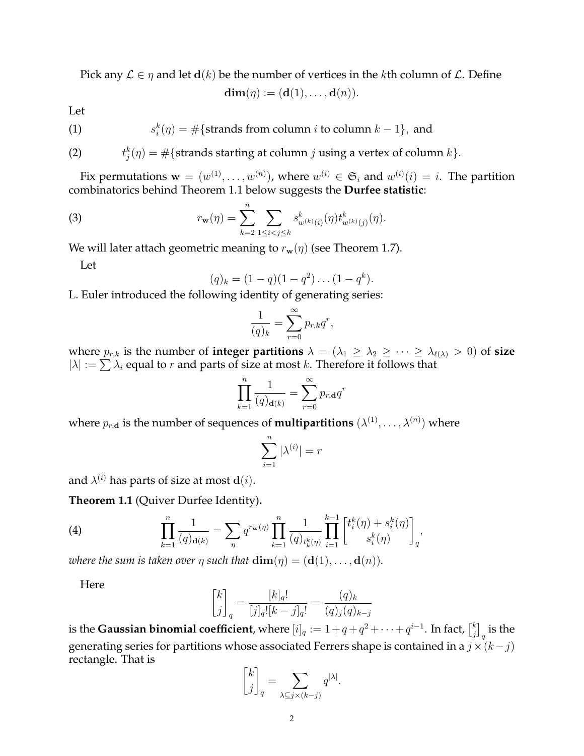Pick any  $\mathcal{L} \in \eta$  and let  $d(k)$  be the number of vertices in the *k*th column of  $\mathcal{L}$ . Define

$$
\mathbf{dim}(\eta) := (\mathbf{d}(1), \dots, \mathbf{d}(n)).
$$

Let

(1) 
$$
s_i^k(\eta) = \#\{\text{strands from column } i \text{ to column } k - 1\}, \text{ and}
$$

(2) 
$$
t_j^k(\eta) = \#\{\text{strands starting at column } j \text{ using a vertex of column } k\}.
$$

Fix permutations  $\mathbf{w} = (w^{(1)}, \dots, w^{(n)})$ , where  $w^{(i)} \in \mathfrak{S}_i$  and  $w^{(i)}(i) = i$ . The partition combinatorics behind Theorem 1.1 below suggests the **Durfee statistic**:

(3) 
$$
r_{\mathbf{w}}(\eta) = \sum_{k=2}^{n} \sum_{1 \leq i < j \leq k} s_{w^{(k)}(i)}^{k}(\eta) t_{w^{(k)}(j)}^{k}(\eta).
$$

We will later attach geometric meaning to  $r_w(\eta)$  (see Theorem 1.7).

Let

$$
(q)_k = (1-q)(1-q^2)\dots(1-q^k).
$$

L. Euler introduced the following identity of generating series:

$$
\frac{1}{(q)_k} = \sum_{r=0}^{\infty} p_{r,k} q^r,
$$

where  $p_{r,k}$  is the number of **integer partitions**  $\lambda = (\lambda_1 \geq \lambda_2 \geq \cdots \geq \lambda_{\ell(\lambda)} > 0)$  of **size**  $|\lambda| := \sum \lambda_i$  equal to *r* and parts of size at most *k*. Therefore it follows that

$$
\prod_{k=1}^{n} \frac{1}{(q)_{\mathbf{d}(k)}} = \sum_{r=0}^{\infty} p_{r,\mathbf{d}} q^r
$$

where  $p_{r,\mathbf{d}}$  is the number of sequences of **multipartitions**  $(\lambda^{(1)}, \ldots, \lambda^{(n)})$  where

$$
\sum_{i=1}^n |\lambda^{(i)}|=r
$$

and  $\lambda^{(i)}$  has parts of size at most  $\mathbf{d}(i)$ .

**Theorem 1.1** (Quiver Durfee Identity)**.**

(4) 
$$
\prod_{k=1}^{n} \frac{1}{(q)_{\mathbf{d}(k)}} = \sum_{\eta} q^{r_{\mathbf{w}}(\eta)} \prod_{k=1}^{n} \frac{1}{(q)_{t_k^k(\eta)}} \prod_{i=1}^{k-1} \left[ t_i^k(\eta) + s_i^k(\eta) \right]_q,
$$

*where the sum is taken over*  $\eta$  *such that*  $\dim(\eta) = (\mathbf{d}(1), \dots, \mathbf{d}(n)).$ 

Here

$$
\begin{bmatrix} k \\ j \end{bmatrix}_q = \frac{[k]_q!}{[j]_q! [k-j]_q!} = \frac{(q)_k}{(q)_j (q)_{k-j}}
$$

is the **Gaussian binomial coefficient**, where  $[i]_q := 1 + q + q^2 + \cdots + q^{i-1}$ . In fact,  $\begin{bmatrix} k \\ i \end{bmatrix}$ *j* ]  $_{q}$  is the generating series for partitions whose associated Ferrers shape is contained in a  $j \times (k - j)$ rectangle. That is

$$
\begin{bmatrix} k \\ j \end{bmatrix}_q = \sum_{\lambda \subseteq j \times (k-j)} q^{|\lambda|}
$$

*.*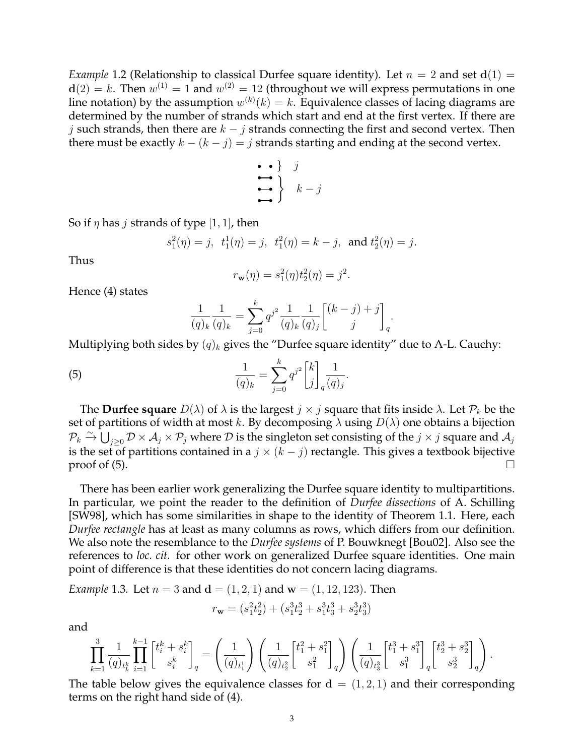*Example* 1.2 (Relationship to classical Durfee square identity). Let  $n = 2$  and set  $d(1) =$ **. Then**  $w^{(1)} = 1$  **and**  $w^{(2)} = 12$  **(throughout we will express permutations in one** line notation) by the assumption  $w^{(k)}(k) = k$ . Equivalence classes of lacing diagrams are determined by the number of strands which start and end at the first vertex. If there are *j* such strands, then there are *k − j* strands connecting the first and second vertex. Then there must be exactly  $k - (k - j) = j$  strands starting and ending at the second vertex.

$$
\begin{array}{c}\n \bullet \\
 \bullet \\
 \bullet \\
 \bullet\n \end{array}\n \quad\n \begin{array}{c}\n \circ \\
 \bullet \\
 \bullet \\
 \bullet\n \end{array}\n \quad\n \begin{array}{c}\n \circ \\
 \bullet \\
 \bullet \\
 \bullet\n \end{array}
$$

So if  $\eta$  has *j* strands of type [1, 1], then

$$
s_1^2(\eta) = j
$$
,  $t_1^1(\eta) = j$ ,  $t_1^2(\eta) = k - j$ , and  $t_2^2(\eta) = j$ .

Thus

$$
r_{\mathbf{w}}(\eta) = s_1^2(\eta) t_2^2(\eta) = j^2.
$$

Hence (4) states

$$
\frac{1}{(q)_k} \frac{1}{(q)_k} = \sum_{j=0}^k q^{j^2} \frac{1}{(q)_k} \frac{1}{(q)_j} \begin{bmatrix} (k-j) + j \\ j \end{bmatrix}_q.
$$

Multiplying both sides by  $(q)_k$  gives the "Durfee square identity" due to A-L. Cauchy:

(5) 
$$
\frac{1}{(q)_k} = \sum_{j=0}^k q^{j^2} \binom{k}{j}_q \frac{1}{(q)_j}.
$$

The **Durfee square**  $D(\lambda)$  of  $\lambda$  is the largest  $j \times j$  square that fits inside  $\lambda$ . Let  $\mathcal{P}_k$  be the set of partitions of width at most *k*. By decomposing *λ* using *D*(*λ*) one obtains a bijection  $\mathcal{P}_k \xrightarrow{\sim} \bigcup_{j \geq 0} \mathcal{D} \times \mathcal{A}_j \times \mathcal{P}_j$  where  $\mathcal D$  is the singleton set consisting of the  $j \times j$  square and  $\mathcal{A}_j$ is the set of partitions contained in a  $j \times (k - j)$  rectangle. This gives a textbook bijective proof of  $(5)$ .

There has been earlier work generalizing the Durfee square identity to multipartitions. In particular, we point the reader to the definition of *Durfee dissections* of A. Schilling [SW98], which has some similarities in shape to the identity of Theorem 1.1. Here, each *Durfee rectangle* has at least as many columns as rows, which differs from our definition. We also note the resemblance to the *Durfee systems* of P. Bouwknegt [Bou02]. Also see the references to *loc. cit.* for other work on generalized Durfee square identities. One main point of difference is that these identities do not concern lacing diagrams.

*Example* 1.3*.* Let  $n = 3$  and  $d = (1, 2, 1)$  and  $w = (1, 12, 123)$ . Then

$$
r_{\mathbf{w}} = (s_1^2 t_2^2) + (s_1^3 t_2^3 + s_1^3 t_3^3 + s_2^3 t_3^3)
$$

and

$$
\prod_{k=1}^3\frac{1}{(q)_{t_k^k}}\prod_{i=1}^{k-1} \begin{bmatrix}t_i^k+s_i^k\\ s_i^k\end{bmatrix}_{q} = \left(\frac{1}{(q)_{t_1^1}}\right)\left(\frac{1}{(q)_{t_2^2}}\begin{bmatrix}t_1^2+s_1^2\\ s_1^2\end{bmatrix}_{q}\right)\left(\frac{1}{(q)_{t_3^3}}\begin{bmatrix}t_1^3+s_1^3\\ s_1^3\end{bmatrix}_{q}\begin{bmatrix}t_2^3+s_2^3\\ s_2^3\end{bmatrix}_{q}\right).
$$

The table below gives the equivalence classes for  $\mathbf{d} = (1, 2, 1)$  and their corresponding terms on the right hand side of (4).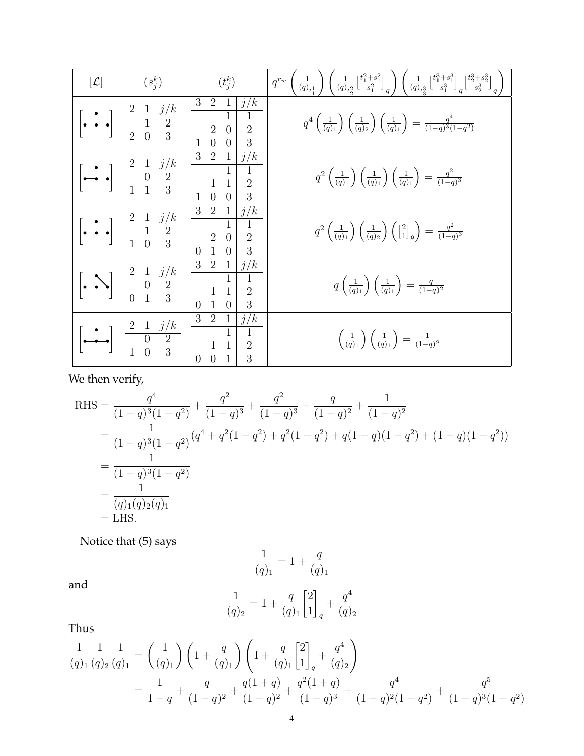| $[\mathcal{L}]$                                                             | $(s_i^k)$                                                                                                                                                        | $(t_i^k)$                                                                                                                                                 | $\frac{1}{(q)_{t}!} \left. \rule{0cm}{3cm} \right) \left( \frac{1}{(q)_{t_{\alpha}^2}} \left[^{t_1^2+s_1^2}_{3\phantom{t_1^2}}\right]_q \right) \left( \frac{1}{(q)_{t_{\alpha}^3}} \left[^{t_1^3+s_1^3}_{3\phantom{t_1^3}}\right]_q \left[^{t_2^3+s_2^3}_{3\phantom{t_2^3}}\right]_q \right.$<br>$q^{r_w}$ |
|-----------------------------------------------------------------------------|------------------------------------------------------------------------------------------------------------------------------------------------------------------|-----------------------------------------------------------------------------------------------------------------------------------------------------------|-------------------------------------------------------------------------------------------------------------------------------------------------------------------------------------------------------------------------------------------------------------------------------------------------------------|
| $ \cdot $                                                                   | $\begin{array}{c c c}\n2 & 1 & j/k \\ \hline\n1 & 2 & \\ 2 & 0 & 3\n\end{array}$                                                                                 | 3<br>$\overline{2}$<br>j/k<br>$\overline{1}$<br>$\sqrt{2}$<br>$\sqrt{2}$<br>$\overline{0}$<br>$\overline{0}$<br>$\overline{3}$<br>$\theta$                | $q^4\left(\frac{1}{(q)_1}\right)\left(\frac{1}{(q)_2}\right)\left(\frac{1}{(q)_1}\right)=\frac{q^4}{(1-q)^3(1-q^2)}$                                                                                                                                                                                        |
| $\begin{bmatrix} \cdot & \cdot \\ \cdot & \cdot \end{bmatrix}_{\mathbb{I}}$ | $\begin{array}{c c} 2 & 1 & j/k \\ \hline 0 & 2 & \\ 1 & 1 & 3 \end{array}$                                                                                      | $3\quad 2$<br>$\mathbf{1}$<br>j/k<br>$\bar{1}$<br>$\overline{2}$<br>$\overline{0}$<br>3<br>$\theta$<br>$\mathbf{1}$                                       | $q^2\left(\frac{1}{(q)_1}\right)\left(\frac{1}{(q)_1}\right)\left(\frac{1}{(q)_1}\right)=\frac{q^2}{(1-q)^3}$                                                                                                                                                                                               |
|                                                                             | $\begin{bmatrix} \bullet & \bullet \\ \bullet & \bullet & \bullet \end{bmatrix} \begin{bmatrix} 2 & 1 & j/k \\ \frac{1}{1} & 2 & k-1 \\ 1 & 0 & 3 \end{bmatrix}$ | 2<br>3<br>j/k<br>$1\vert$<br>$\mathbf{1}$<br>$\overline{0}$<br>$\overline{2}$<br>$\sqrt{2}$<br>$\frac{1}{1}$<br>3<br>$\overline{0}$<br>$\overline{0}$     | $q^2\left(\frac{1}{(q)_1}\right)\left(\frac{1}{(q)_2}\right)\left(\begin{bmatrix}2\\1\end{bmatrix}_q\right)=\frac{q^2}{(1-q)^3}$                                                                                                                                                                            |
| $ \mathcal{L} $                                                             | $\begin{array}{c c c}\n2 & 1 & j/k \\ \hline\n0 & 2 & \\ 0 & 1 & 3\n\end{array}$                                                                                 | $3\quad 2$<br>j/k<br>$\vert$ 1<br>$\overline{1}$<br>$\mathbf{1}$<br>$\overline{1}$<br>$\overline{2}$<br>$\overline{1}$<br>3<br>$\overline{0}$<br>$\theta$ | $q\left(\frac{1}{(q)_1}\right)\left(\frac{1}{(q)_1}\right)=\frac{q}{(1-q)^2}$                                                                                                                                                                                                                               |
|                                                                             | $\begin{array}{c c c}\n2 & 1 & j/k \\ \hline\n0 & 2 \\ 1 & 0 & 3\n\end{array}$                                                                                   | $3\quad 2$<br>j/k<br>$\mathbf{1}$<br>$\overline{1}$<br>$\overline{2}$<br>$\overline{0}$<br>$\overline{3}$<br>$\theta$                                     | $\left(\frac{1}{(q)_1}\right)\left(\frac{1}{(q)_1}\right) = \frac{1}{(1-q)^2}$                                                                                                                                                                                                                              |

We then verify,

RHS = 
$$
\frac{q^4}{(1-q)^3(1-q^2)} + \frac{q^2}{(1-q)^3} + \frac{q^2}{(1-q)^3} + \frac{q}{(1-q)^2} + \frac{1}{(1-q)^2}
$$
  
= 
$$
\frac{1}{(1-q)^3(1-q^2)}(q^4+q^2(1-q^2)+q^2(1-q^2)+q(1-q)(1-q^2)+(1-q)(1-q^2))
$$
  
= 
$$
\frac{1}{(1-q)^3(1-q^2)}
$$
  
= 
$$
\frac{1}{(q)_1(q)_2(q)_1}
$$
  
= LHS.

Notice that (5) says

$$
\frac{1}{(q)_1} = 1 + \frac{q}{(q)_1}
$$

and

$$
\frac{1}{(q)_2} = 1 + \frac{q}{(q)_1} \begin{bmatrix} 2 \\ 1 \end{bmatrix}_q + \frac{q^4}{(q)_2}
$$

Thus

$$
\frac{1}{(q)_1} \frac{1}{(q)_2} \frac{1}{(q)_1} = \left(\frac{1}{(q)_1}\right) \left(1 + \frac{q}{(q)_1}\right) \left(1 + \frac{q}{(q)_1}\left[2\right]_q + \frac{q^4}{(q)_2}\right)
$$

$$
= \frac{1}{1-q} + \frac{q}{(1-q)^2} + \frac{q(1+q)}{(1-q)^2} + \frac{q^2(1+q)}{(1-q)^3} + \frac{q^4}{(1-q)^2(1-q^2)} + \frac{q^5}{(1-q)^3(1-q^2)}
$$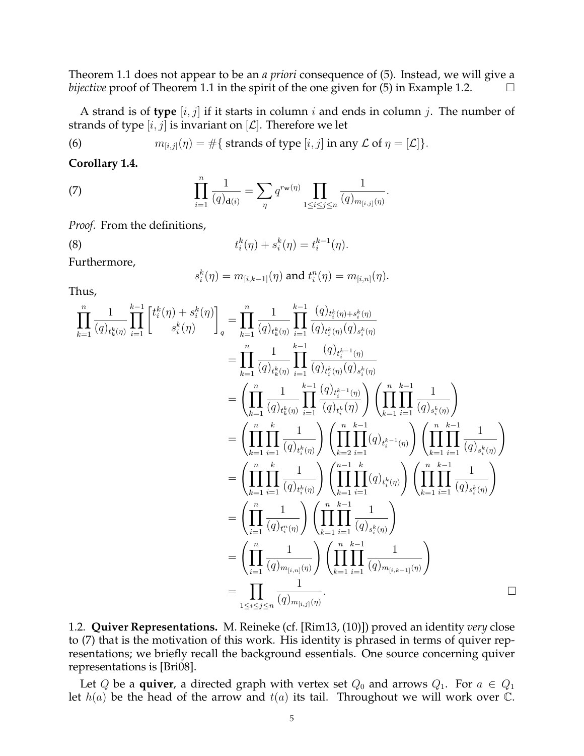Theorem 1.1 does not appear to be an *a priori* consequence of (5). Instead, we will give a *bijective* proof of Theorem 1.1 in the spirit of the one given for (5) in Example 1.2.  $\Box$ 

A strand is of **type** [*i, j*] if it starts in column *i* and ends in column *j*. The number of strands of type  $[i, j]$  is invariant on  $[\mathcal{L}]$ . Therefore we let

(6) 
$$
m_{[i,j]}(\eta) = \#\{\text{ strands of type } [i,j] \text{ in any } \mathcal{L} \text{ of } \eta = [\mathcal{L}]\}.
$$

**Corollary 1.4.**

(7) 
$$
\prod_{i=1}^{n} \frac{1}{(q)_{\mathbf{d}(i)}} = \sum_{\eta} q^{r_{\mathbf{w}}(\eta)} \prod_{1 \leq i \leq j \leq n} \frac{1}{(q)_{m_{[i,j]}(\eta)}}.
$$

*Proof.* From the definitions,

(8) 
$$
t_i^k(\eta) + s_i^k(\eta) = t_i^{k-1}(\eta).
$$

Furthermore,

$$
s_i^k(\eta)=m_{[i,k-1]}(\eta) \text{ and } t_i^n(\eta)=m_{[i,n]}(\eta).
$$

Thus,

$$
\prod_{k=1}^{n} \frac{1}{(q)_{t_k^k(\eta)}} \prod_{i=1}^{k-1} \left[ t_i^k(\eta) + s_i^k(\eta) \right]_q = \prod_{k=1}^{n} \frac{1}{(q)_{t_k^k(\eta)}} \prod_{i=1}^{k-1} \frac{(q)_{t_i^k(\eta)} + s_i^k(\eta)}{(q)_{t_i^k(\eta)}(q)_{s_i^k(\eta)}} \n= \prod_{k=1}^{n} \frac{1}{(q)_{t_k^k(\eta)}} \prod_{i=1}^{k-1} \frac{(q)_{t_i^{k-1}(\eta)}}{(q)_{t_i^k(\eta)}(q)_{s_i^k(\eta)}} \n= \left( \prod_{k=1}^{n} \frac{1}{(q)_{t_k^k(\eta)}} \prod_{i=1}^{k-1} \frac{(q)_{t_i^{k-1}(\eta)}}{(q)_{t_i^k(\eta)}} \right) \left( \prod_{k=1}^{n} \prod_{i=1}^{k-1} \frac{1}{(q)_{s_i^k(\eta)}} \right) \n= \left( \prod_{k=1}^{n} \prod_{i=1}^{k} \frac{1}{(q)_{t_i^k(\eta)}} \right) \left( \prod_{k=2}^{n} \prod_{i=1}^{k-1} (q)_{t_i^{k-1}(\eta)} \right) \left( \prod_{k=1}^{n} \prod_{i=1}^{k-1} \frac{1}{(q)_{s_i^k(\eta)}} \right) \n= \left( \prod_{k=1}^{n} \prod_{i=1}^{k} \frac{1}{(q)_{t_i^k(\eta)}} \right) \left( \prod_{k=1}^{n} \prod_{i=1}^{k} (q)_{t_i^{k}(\eta)} \right) \left( \prod_{k=1}^{n} \prod_{i=1}^{k-1} \frac{1}{(q)_{s_i^k(\eta)}} \right) \n= \left( \prod_{i=1}^{n} \frac{1}{(q)_{t_i^m(\eta)}} \right) \left( \prod_{k=1}^{n} \prod_{i=1}^{k} (q)_{s_i^k(\eta)} \right) \n= \left( \prod_{i=1}^{n} \frac{1}{(q)_{m(i,n]}(\eta)} \right) \left( \prod_{k=1}^{n} \prod_{i=1}^{k-1} \frac{1}{(q)_{m(i,k-1)}(\eta)}
$$

1.2. **Quiver Representations.** M. Reineke (cf. [Rim13, (10)]) proved an identity *very* close to (7) that is the motivation of this work. His identity is phrased in terms of quiver representations; we briefly recall the background essentials. One source concerning quiver representations is [Bri08].

Let *Q* be a **quiver**, a directed graph with vertex set  $Q_0$  and arrows  $Q_1$ . For  $a \in Q_1$ let *h*(*a*) be the head of the arrow and *t*(*a*) its tail. Throughout we will work over C.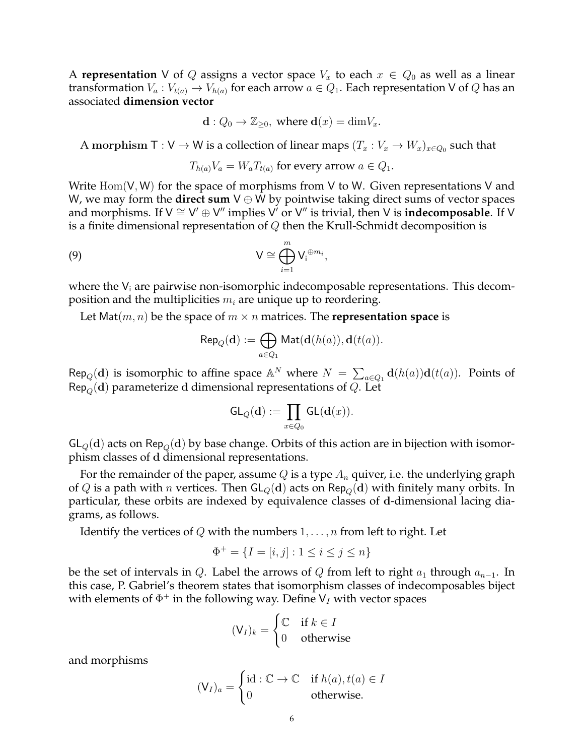A **representation** V of Q assigns a vector space  $V_x$  to each  $x \in Q_0$  as well as a linear transformation  $V_a: V_{t(a)} \to V_{h(a)}$  for each arrow  $a \in Q_1$ . Each representation V of Q has an associated **dimension vector**

$$
\mathbf{d}: Q_0 \to \mathbb{Z}_{\geq 0}, \text{ where } \mathbf{d}(x) = \dim V_x.
$$

A morphism  $\top : V \to W$  is a collection of linear maps  $(T_x : V_x \to W_x)_{x \in Q_0}$  such that

$$
T_{h(a)}V_a = W_a T_{t(a)}
$$
 for every arrow  $a \in Q_1$ .

Write Hom(V*,* W) for the space of morphisms from V to W. Given representations V and W, we may form the **direct sum** V *⊕* W by pointwise taking direct sums of vector spaces and morphisms. If V *∼*= V *′ ⊕* V *′′* implies V *′* or V *′′* is trivial, then V is **indecomposable**. If V is a finite dimensional representation of *Q* then the Krull-Schmidt decomposition is

(9) 
$$
V \cong \bigoplus_{i=1}^{m} V_i^{\oplus m_i},
$$

where the  $V_i$  are pairwise non-isomorphic indecomposable representations. This decomposition and the multiplicities *m<sup>i</sup>* are unique up to reordering.

Let Mat $(m, n)$  be the space of  $m \times n$  matrices. The **representation space** is

$$
\mathsf{Rep}_Q(\mathbf{d}) := \bigoplus_{a \in Q_1} \mathsf{Mat}(\mathbf{d}(h(a)), \mathbf{d}(t(a)).
$$

 $\text{Rep}_Q(\mathbf{d})$  is isomorphic to affine space  $\mathbb{A}^N$  where  $N = \sum_{a \in Q_1} \mathbf{d}(h(a))\mathbf{d}(t(a))$ . Points of Rep*Q*(**d**) parameterize **d** dimensional representations of *Q*. Let

$$
\mathsf{GL}_Q(\mathbf{d}) := \prod_{x \in Q_0} \mathsf{GL}(\mathbf{d}(x)).
$$

 $GL_q(d)$  acts on  $\mathsf{Rep}_Q(d)$  by base change. Orbits of this action are in bijection with isomorphism classes of **d** dimensional representations.

For the remainder of the paper, assume *Q* is a type *A<sup>n</sup>* quiver, i.e. the underlying graph of *Q* is a path with *n* vertices. Then  $GL<sub>O</sub>(d)$  acts on Rep<sub>*Q*</sub>(*d*) with finitely many orbits. In particular, these orbits are indexed by equivalence classes of **d**-dimensional lacing diagrams, as follows.

Identify the vertices of *Q* with the numbers 1*, . . . , n* from left to right. Let

$$
\Phi^+ = \{ I = [i, j] : 1 \le i \le j \le n \}
$$

be the set of intervals in *Q*. Label the arrows of *Q* from left to right  $a_1$  through  $a_{n-1}$ . In this case, P. Gabriel's theorem states that isomorphism classes of indecomposables biject with elements of  $\Phi^+$  in the following way. Define V<sub>I</sub> with vector spaces

$$
(\mathsf{V}_I)_k = \begin{cases} \mathbb{C} & \text{if } k \in I \\ 0 & \text{otherwise} \end{cases}
$$

and morphisms

$$
(\mathsf{V}_I)_a = \begin{cases} \mathrm{id} : \mathbb{C} \to \mathbb{C} & \text{if } h(a), t(a) \in I \\ 0 & \text{otherwise.} \end{cases}
$$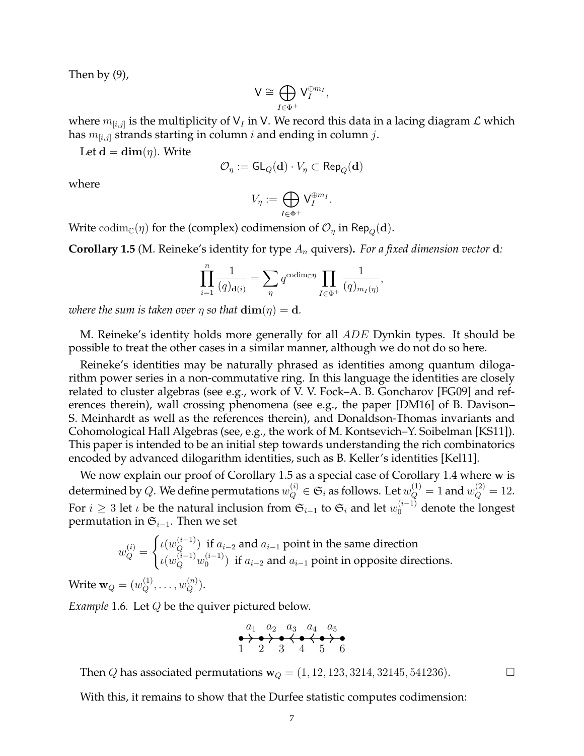Then by (9),

$$
\mathsf{V}\cong \bigoplus_{I\in \Phi^+} \mathsf{V}_I^{\oplus m_I}
$$

*,*

where *m*[*i,j*] is the multiplicity of V*<sup>I</sup>* in V. We record this data in a lacing diagram *L* which has *m*[*i,j*] strands starting in column *i* and ending in column *j*.

Let  $\mathbf{d} = \dim(\eta)$ . Write

$$
\mathcal{O}_\eta := \mathsf{GL}_Q(\operatorname{\mathbf{d}}) \cdot V_\eta \subset \mathsf{Rep}_Q(\operatorname{\mathbf{d}})
$$

where

$$
V_{\eta} := \bigoplus_{I \in \Phi^+} \mathsf{V}_I^{\oplus m_I}.
$$

Write codim<sub>C</sub>(*η*) for the (complex) codimension of  $\mathcal{O}_\eta$  in Rep<sub>*Q*</sub>(**d**).

**Corollary 1.5** (M. Reineke's identity for type *A<sup>n</sup>* quivers)**.** *For a fixed dimension vector* **d***:*

$$
\prod_{i=1}^n \frac{1}{(q)_{\mathbf{d}(i)}} = \sum_{\eta} q^{\text{codim}_{\mathbb{C}} \eta} \prod_{I \in \Phi^+} \frac{1}{(q)_{m_I(\eta)}},
$$

*where the sum is taken over*  $\eta$  *so that*  $\dim(\eta) = d$ *.* 

M. Reineke's identity holds more generally for all *ADE* Dynkin types. It should be possible to treat the other cases in a similar manner, although we do not do so here.

Reineke's identities may be naturally phrased as identities among quantum dilogarithm power series in a non-commutative ring. In this language the identities are closely related to cluster algebras (see e.g., work of V. V. Fock–A. B. Goncharov [FG09] and references therein), wall crossing phenomena (see e.g., the paper [DM16] of B. Davison– S. Meinhardt as well as the references therein), and Donaldson-Thomas invariants and Cohomological Hall Algebras (see, e.g., the work of M. Kontsevich–Y. Soibelman [KS11]). This paper is intended to be an initial step towards understanding the rich combinatorics encoded by advanced dilogarithm identities, such as B. Keller's identities [Kel11].

We now explain our proof of Corollary 1.5 as a special case of Corollary 1.4 where **w** is determined by  $Q$ . We define permutations  $w_Q^{(i)} \in \mathfrak{S}_i$  as follows. Let  $w_Q^{(1)} = 1$  and  $w_Q^{(2)} = 12$ . For  $i \geq 3$  let *ι* be the natural inclusion from  $\mathfrak{S}_{i-1}$  to  $\mathfrak{S}_i$  and let  $w_0^{(i-1)}$  denote the longest permutation in S*<sup>i</sup>−*<sup>1</sup>. Then we set

$$
w_Q^{(i)} = \begin{cases} \iota(w_Q^{(i-1)}) \text{ if } a_{i-2} \text{ and } a_{i-1} \text{ point in the same direction} \\ \iota(w_Q^{(i-1)}w_0^{(i-1)}) \text{ if } a_{i-2} \text{ and } a_{i-1} \text{ point in opposite directions.} \end{cases}
$$

 $\text{Write } \mathbf{w}_Q = (w_Q^{(1)}, \dots, w_Q^{(n)}).$ 

*Example* 1.6*.* Let *Q* be the quiver pictured below.

$$
\begin{array}{c}\n a_1 \quad a_2 \quad a_3 \quad a_4 \quad a_5 \\
 \bullet \rightarrow \bullet \rightarrow \bullet \leftrightarrow \bullet \leftrightarrow \bullet \\
 1 \quad 2 \quad 3 \quad 4 \quad 5 \quad 6\n\end{array}
$$

Then *Q* has associated permutations  $w_Q = (1, 12, 123, 3214, 32145, 541236)$ .

With this, it remains to show that the Durfee statistic computes codimension: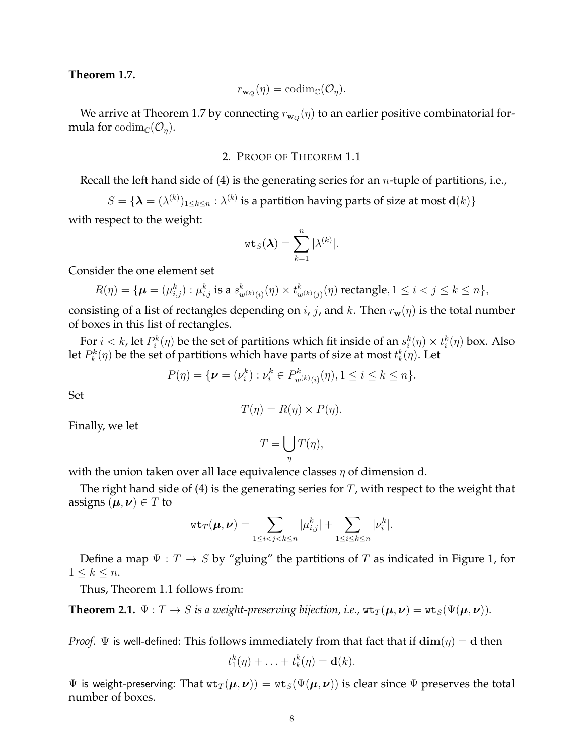### **Theorem 1.7.**

$$
r_{\mathbf{w}_Q}(\eta) = \mathrm{codim}_{\mathbb{C}}(\mathcal{O}_\eta).
$$

We arrive at Theorem 1.7 by connecting  $r_{\mathbf{w}_Q}(\eta)$  to an earlier positive combinatorial formula for  $\text{codim}_{\mathbb{C}}(\mathcal{O}_\eta)$ .

## 2. PROOF OF THEOREM 1.1

Recall the left hand side of (4) is the generating series for an *n*-tuple of partitions, i.e.,

 $S = \{ \boldsymbol{\lambda} = (\lambda^{(k)})_{1 \leq k \leq n} : \lambda^{(k)}$  is a partition having parts of size at most  $\mathbf{d}(k) \}$ 

with respect to the weight:

$$
\mathtt{wt}_S(\boldsymbol{\lambda}) = \sum_{k=1}^n |\lambda^{(k)}|.
$$

Consider the one element set

$$
R(\eta) = \{ \boldsymbol{\mu} = (\mu_{i,j}^k) : \mu_{i,j}^k \text{ is a } s_{w^{(k)}(i)}^k(\eta) \times t_{w^{(k)}(j)}^k(\eta) \text{ rectangle}, 1 \le i < j \le k \le n \},\
$$

consisting of a list of rectangles depending on *i*, *j*, and *k*. Then  $r_w(\eta)$  is the total number of boxes in this list of rectangles.

For  $i < k$ , let  $P_i^k(\eta)$  be the set of partitions which fit inside of an  $s_i^k(\eta) \times t_i^k(\eta)$  box. Also let  $P_k^k(\eta)$  be the set of partitions which have parts of size at most  $t_k^k(\eta).$  Let

$$
P(\eta) = \{ \boldsymbol{\nu} = (\nu_i^k) : \nu_i^k \in P^k_{w^{(k)}(i)}(\eta), 1 \le i \le k \le n \}.
$$

Set

$$
T(\eta) = R(\eta) \times P(\eta).
$$

Finally, we let

$$
T = \bigcup_{\eta} T(\eta),
$$

with the union taken over all lace equivalence classes *η* of dimension **d**.

The right hand side of (4) is the generating series for *T*, with respect to the weight that assigns  $(\mu, \nu) \in T$  to

$$
\mathrm{wt}_T(\pmb{\mu},\pmb{\nu})=\sum_{1\leq i
$$

Define a map  $\Psi : T \to S$  by "gluing" the partitions of *T* as indicated in Figure 1, for  $1 \leq k \leq n$ .

Thus, Theorem 1.1 follows from:

**Theorem 2.1.**  $\Psi: T \to S$  is a weight-preserving bijection, i.e.,  $\operatorname{wt}_T(\boldsymbol{\mu}, \boldsymbol{\nu}) = \operatorname{wt}_S(\Psi(\boldsymbol{\mu}, \boldsymbol{\nu}))$ .

*Proof.*  $\Psi$  is well-defined: This follows immediately from that fact that if  $\dim(\eta) = d$  then

$$
t_1^k(\eta)+\ldots+t_k^k(\eta)=\mathbf{d}(k).
$$

 $\Psi$  is weight-preserving: That  $wt_T(\mu, \nu) = wt_S(\Psi(\mu, \nu))$  is clear since  $\Psi$  preserves the total number of boxes.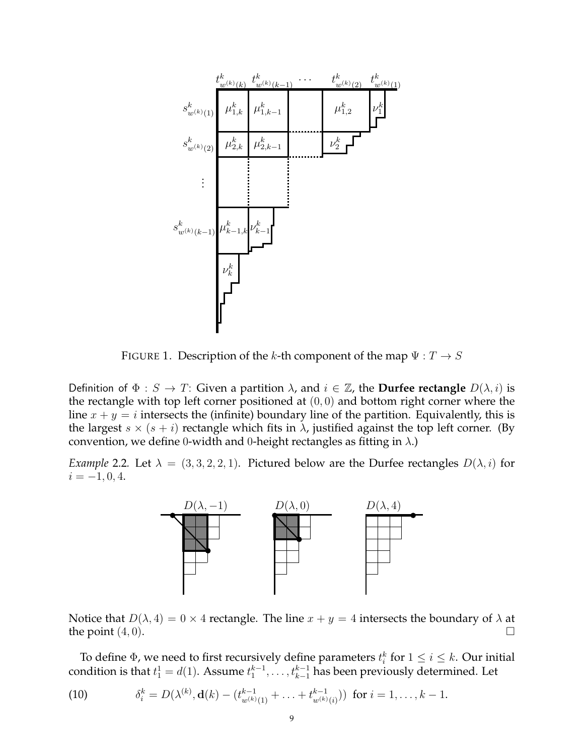

FIGURE 1. Description of the *k*-th component of the map  $\Psi : T \to S$ 

Definition of  $\Phi : S \to T$ : Given a partition  $\lambda$ , and  $i \in \mathbb{Z}$ , the **Durfee rectangle**  $D(\lambda, i)$  is the rectangle with top left corner positioned at (0*,* 0) and bottom right corner where the line  $x + y = i$  intersects the (infinite) boundary line of the partition. Equivalently, this is the largest  $s \times (s + i)$  rectangle which fits in  $\lambda$ , justified against the top left corner. (By convention, we define 0-width and 0-height rectangles as fitting in *λ*.)

*Example* 2.2*.* Let  $\lambda = (3, 3, 2, 2, 1)$ . Pictured below are the Durfee rectangles  $D(\lambda, i)$  for  $i = -1, 0, 4.$ 



Notice that  $D(\lambda, 4) = 0 \times 4$  rectangle. The line  $x + y = 4$  intersects the boundary of  $\lambda$  at the point  $(4,0)$ .

To define  $\Phi$ , we need to first recursively define parameters  $t_i^k$  for  $1 \leq i \leq k$ . Our initial condition is that  $t_1^1 = d(1)$ . Assume  $t_1^{k-1}, \ldots, t_{k-1}^{k-1}$  has been previously determined. Let

(10) 
$$
\delta_i^k = D(\lambda^{(k)}, \mathbf{d}(k) - (t_{w^{(k)}(1)}^{k-1} + \ldots + t_{w^{(k)}(i)}^{k-1})) \text{ for } i = 1, \ldots, k-1.
$$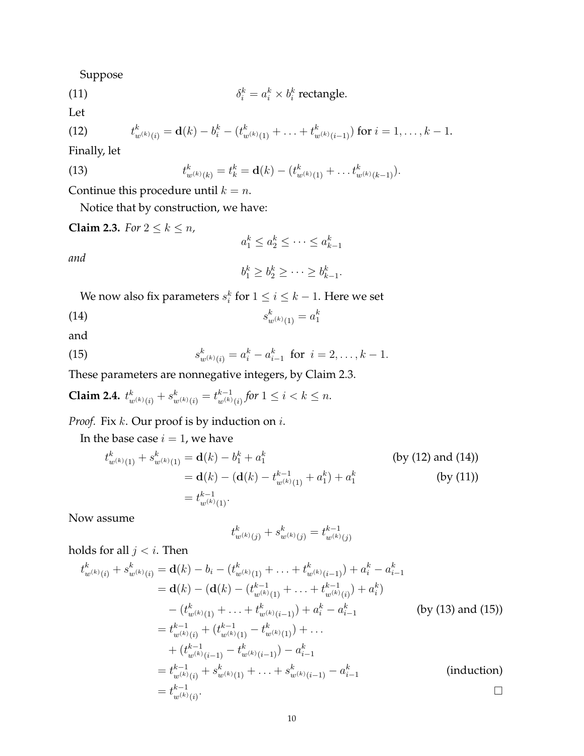Suppose

(11) 
$$
\delta_i^k = a_i^k \times b_i^k \text{ rectangle.}
$$

Let

(12) 
$$
t_{w^{(k)}(i)}^k = \mathbf{d}(k) - b_i^k - (t_{w^{(k)}(1)}^k + \ldots + t_{w^{(k)}(i-1)}^k) \text{ for } i = 1, \ldots, k-1.
$$

Finally, let

(13) 
$$
t_{w^{(k)}(k)}^k = t_k^k = \mathbf{d}(k) - (t_{w^{(k)}(1)}^k + \dots + t_{w^{(k)}(k-1)}^k).
$$

Continue this procedure until  $k = n$ .

Notice that by construction, we have:

**Claim 2.3.** *For*  $2 \leq k \leq n$ *,* 

*and*

$$
b_1^k \ge b_2^k \ge \cdots \ge b_{k-1}^k.
$$

 $a_1^k \leq a_2^k \leq \cdots \leq a_{k-1}^k$ 

We now also fix parameters  $s_i^k$  for  $1 \leq i \leq k-1$ . Here we set

(14) 
$$
s_{w^{(k)}(1)}^k = a_1^k
$$

and

(15) 
$$
s_{w^{(k)}(i)}^k = a_i^k - a_{i-1}^k \text{ for } i = 2, ..., k-1.
$$

These parameters are nonnegative integers, by Claim 2.3.

**Claim 2.4.** 
$$
t^k_{w^{(k)}(i)} + s^k_{w^{(k)}(i)} = t^{k-1}_{w^{(k)}(i)} \text{ for } 1 \leq i < k \leq n.
$$

*Proof.* Fix *k*. Our proof is by induction on *i*.

In the base case  $i = 1$ , we have

$$
t_{w^{(k)}(1)}^k + s_{w^{(k)}(1)}^k = \mathbf{d}(k) - b_1^k + a_1^k
$$
 (by (12) and (14))  
=  $\mathbf{d}(k) - (\mathbf{d}(k) - t_{w^{(k)}(1)}^{k-1} + a_1^k) + a_1^k$  (by (11))  
=  $t_{w^{(k)}(1)}^{k-1}$ .

Now assume

$$
t_{w^{(k)}(j)}^k + s_{w^{(k)}(j)}^k = t_{w^{(k)}(j)}^{k-1}
$$

holds for all *j < i*. Then

$$
t_{w^{(k)}(i)}^{k} + s_{w^{(k)}(i)}^{k} = \mathbf{d}(k) - b_{i} - (t_{w^{(k)}(1)}^{k} + \dots + t_{w^{(k)}(i-1)}^{k}) + a_{i}^{k} - a_{i-1}^{k}
$$
  
\n
$$
= \mathbf{d}(k) - (\mathbf{d}(k) - (t_{w^{(k)}(1)}^{k-1} + \dots + t_{w^{(k)}(i)}^{k-1}) + a_{i}^{k})
$$
  
\n
$$
- (t_{w^{(k)}(1)}^{k} + \dots + t_{w^{(k)}(i-1)}^{k}) + a_{i}^{k} - a_{i-1}^{k}
$$
 (by (13) and (15))  
\n
$$
= t_{w^{(k)}(i)}^{k-1} + (t_{w^{(k)}(i)}^{k-1} - t_{w^{(k)}(i-1)}^{k}) + \dots
$$
  
\n
$$
+ (t_{w^{(k)}(i-1)}^{k-1} - t_{w^{(k)}(i-1)}^{k}) - a_{i-1}^{k}
$$
  
\n
$$
= t_{w^{(k)}(i)}^{k-1} + s_{w^{(k)}(1)}^{k} + \dots + s_{w^{(k)}(i-1)}^{k} - a_{i-1}^{k}
$$
 (induction)  
\n
$$
= t_{w^{(k)}(i)}^{k-1}.
$$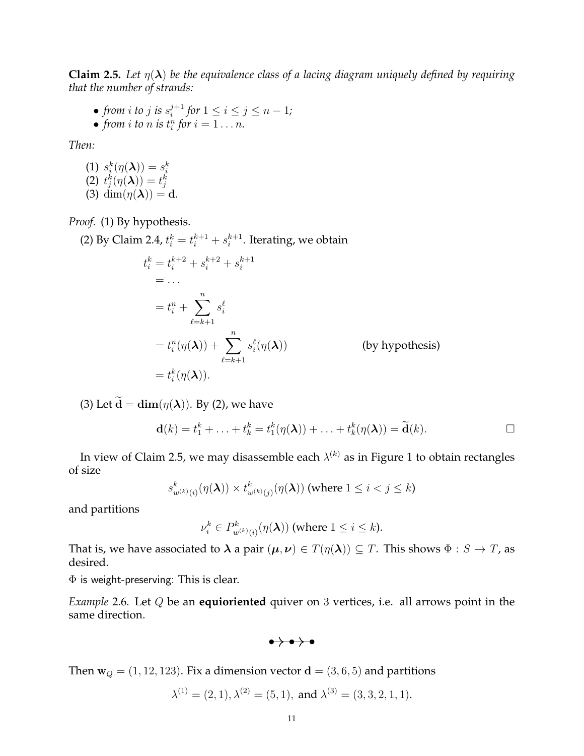**Claim 2.5.** *Let*  $\eta(\lambda)$  *be the equivalence class of a lacing diagram uniquely defined by requiring that the number of strands:*

• *from i to j is*  $s_i^{j+1}$  $i^{j+1}$  for  $1 \leq i \leq j \leq n-1$ ; • from *i* to *n* is  $t_i^n$  for  $i = 1 \ldots n$ .

*Then:*

(1)  $s_i^k(\eta(\lambda)) = s_i^k$ <br>
(2)  $t_j^k(\eta(\lambda)) = t_j^k$ (3) dim $(\eta(\lambda)) = d$ *.* 

*Proof.* (1) By hypothesis.

(2) By Claim 2.4,  $t_i^k = t_i^{k+1} + s_i^{k+1}$  $i^{k+1}$ . Iterating, we obtain

$$
t_i^k = t_i^{k+2} + s_i^{k+2} + s_i^{k+1}
$$
  
= ...  

$$
= t_i^n + \sum_{\ell=k+1}^n s_i^{\ell}
$$
  

$$
= t_i^n(\eta(\boldsymbol{\lambda})) + \sum_{\ell=k+1}^n s_i^{\ell}(\eta(\boldsymbol{\lambda}))
$$
 (by hypothesis)  

$$
= t_i^k(\eta(\boldsymbol{\lambda})).
$$

(3) Let  $\tilde{\mathbf{d}} = \dim(\eta(\boldsymbol{\lambda}))$ . By (2), we have

$$
\mathbf{d}(k) = t_1^k + \ldots + t_k^k = t_1^k(\eta(\boldsymbol{\lambda})) + \ldots + t_k^k(\eta(\boldsymbol{\lambda})) = \widetilde{\mathbf{d}}(k).
$$

In view of Claim 2.5, we may disassemble each  $\lambda^{(k)}$  as in Figure 1 to obtain rectangles of size

$$
s^k_{w^{(k)}(i)}(\eta(\boldsymbol{\lambda})) \times t^k_{w^{(k)}(j)}(\eta(\boldsymbol{\lambda})) \text{ (where } 1 \leq i < j \leq k\text{)}
$$

and partitions

$$
\nu_i^k \in P^k_{w^{(k)}(i)}(\eta(\boldsymbol{\lambda})) \text{ (where } 1 \le i \le k).
$$

That is, we have associated to  $\lambda$  a pair  $(\mu, \nu) \in T(\eta(\lambda)) \subseteq T$ . This shows  $\Phi : S \to T$ , as desired.

 $\Phi$  is weight-preserving: This is clear.

*Example* 2.6*.* Let *Q* be an **equioriented** quiver on 3 vertices, i.e. all arrows point in the same direction.

 $\rightarrow \rightarrow \rightarrow \rightarrow$ 

Then  $\mathbf{w}_Q = (1, 12, 123)$ . Fix a dimension vector  $\mathbf{d} = (3, 6, 5)$  and partitions

$$
\lambda^{(1)} = (2, 1), \lambda^{(2)} = (5, 1), \text{ and } \lambda^{(3)} = (3, 3, 2, 1, 1).
$$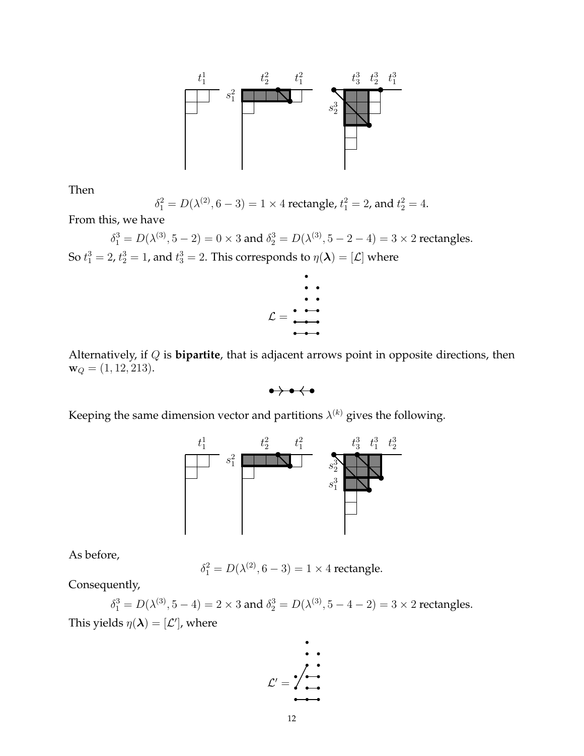

Then

$$
\delta_1^2 = D(\lambda^{(2)}, 6 - 3) = 1 \times 4
$$
 rectangle,  $t_1^2 = 2$ , and  $t_2^2 = 4$ .

From this, we have

 $\delta_1^3 = D(\lambda^{(3)}, 5 - 2) = 0 \times 3$  and  $\delta_2^3 = D(\lambda^{(3)}, 5 - 2 - 4) = 3 \times 2$  rectangles. So  $t_1^3 = 2$ ,  $t_2^3 = 1$ , and  $t_3^3 = 2$ . This corresponds to  $\eta(\boldsymbol{\lambda}) = [\mathcal{L}]$  where



Alternatively, if *Q* is **bipartite**, that is adjacent arrows point in opposite directions, then  $\mathbf{w}_Q = (1, 12, 213).$ 

 $\rightarrow \bullet \leftarrow \bullet$ 

Keeping the same dimension vector and partitions  $\lambda^{(k)}$  gives the following.



As before,

$$
\delta_1^2 = D(\lambda^{(2)}, 6 - 3) = 1 \times 4
$$
 rectangle.

Consequently,

 $\delta_1^3 = D(\lambda^{(3)}, 5 - 4) = 2 \times 3$  and  $\delta_2^3 = D(\lambda^{(3)}, 5 - 4 - 2) = 3 \times 2$  rectangles. This yields  $\eta(\boldsymbol{\lambda}) = [\mathcal{L}']$ , where

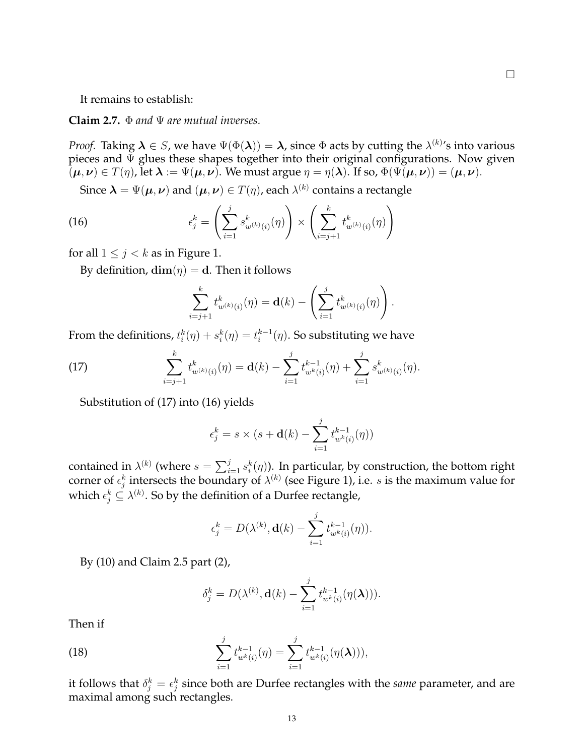It remains to establish:

**Claim 2.7.** Φ *and* Ψ *are mutual inverses.*

*Proof.* Taking  $\bm{\lambda} \in S$ , we have  $\Psi(\Phi(\bm{\lambda})) = \bm{\lambda}$ , since  $\Phi$  acts by cutting the  $\lambda^{(k)}$ 's into various pieces and  $\Psi$  glues these shapes together into their original configurations. Now given  $(\mu, \nu) \in T(\eta)$ , let  $\lambda := \Psi(\mu, \nu)$ . We must argue  $\eta = \eta(\lambda)$ . If so,  $\Phi(\Psi(\mu, \nu)) = (\mu, \nu)$ .

Since  $\boldsymbol{\lambda}=\Psi(\boldsymbol{\mu},\boldsymbol{\nu})$  and  $(\boldsymbol{\mu},\boldsymbol{\nu})\in T(\eta)$ , each  $\lambda^{(k)}$  contains a rectangle

(16) 
$$
\epsilon_j^k = \left(\sum_{i=1}^j s_{w^{(k)}(i)}^k(\eta)\right) \times \left(\sum_{i=j+1}^k t_{w^{(k)}(i)}^k(\eta)\right)
$$

for all  $1 \leq j < k$  as in Figure 1.

By definition,  $\dim(\eta) = d$ . Then it follows

$$
\sum_{i=j+1}^k t_{w^{(k)}(i)}^k(\eta) = \mathbf{d}(k) - \left(\sum_{i=1}^j t_{w^{(k)}(i)}^k(\eta)\right).
$$

From the definitions,  $t_i^k(\eta) + s_i^k(\eta) = t_i^{k-1}(\eta)$ . So substituting we have

(17) 
$$
\sum_{i=j+1}^{k} t_{w^{(k)}(i)}^{k}(\eta) = \mathbf{d}(k) - \sum_{i=1}^{j} t_{w^{k}(i)}^{k-1}(\eta) + \sum_{i=1}^{j} s_{w^{(k)}(i)}^{k}(\eta).
$$

Substitution of (17) into (16) yields

$$
\epsilon_j^k = s \times (s + \mathbf{d}(k) - \sum_{i=1}^j t_{w^k(i)}^{k-1}(\eta))
$$

contained in  $\lambda^{(k)}$  (where  $s = \sum_{i=1}^{j} s_i^k(\eta)$ ). In particular, by construction, the bottom right corner of  $\epsilon_j^k$  intersects the boundary of  $\lambda^{(k)}$  (see Figure 1), i.e. *s* is the maximum value for which  $\epsilon_j^k \subseteq \lambda^{(k)}$ . So by the definition of a Durfee rectangle,

$$
\epsilon_j^k = D(\lambda^{(k)}, \mathbf{d}(k) - \sum_{i=1}^j t_{w^k(i)}^{k-1}(\eta)).
$$

By (10) and Claim 2.5 part (2),

$$
\delta_j^k = D(\lambda^{(k)}, \mathbf{d}(k) - \sum_{i=1}^j t_{w^k(i)}^{k-1}(\eta(\boldsymbol{\lambda}))).
$$

Then if

(18) 
$$
\sum_{i=1}^{j} t_{w^{k}(i)}^{k-1}(\eta) = \sum_{i=1}^{j} t_{w^{k}(i)}^{k-1}(\eta(\lambda))),
$$

it follows that  $\delta_j^k = \epsilon_j^k$  since both are Durfee rectangles with the same parameter, and are maximal among such rectangles.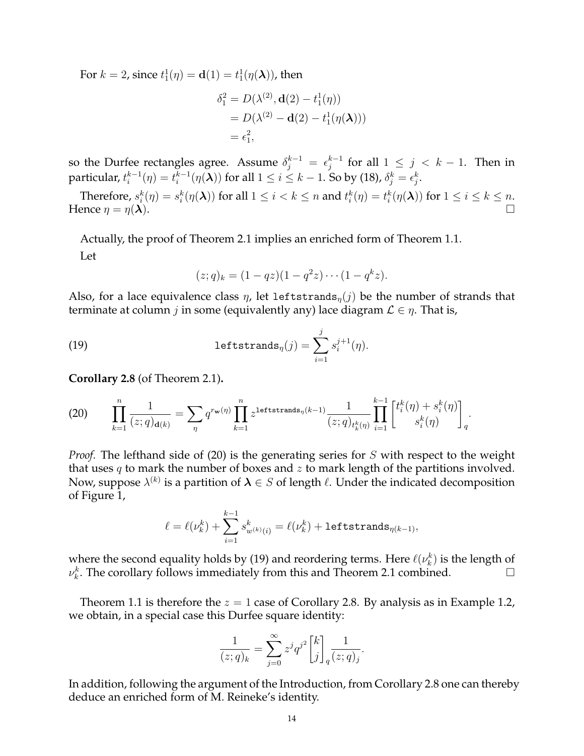For  $k = 2$ , since  $t_1^1(\eta) = d(1) = t_1^1(\eta(\lambda))$ , then

$$
\delta_1^2 = D(\lambda^{(2)}, \mathbf{d}(2) - t_1^1(\eta))
$$
  
=  $D(\lambda^{(2)} - \mathbf{d}(2) - t_1^1(\eta(\lambda)))$   
=  $\epsilon_1^2$ ,

so the Durfee rectangles agree. Assume  $\delta_j^{k-1} = \epsilon_j^{k-1}$  for all  $1 \leq j \, < \, k-1$ . Then in particular,  $t_i^{k-1}(\eta)=t_i^{k-1}(\eta(\boldsymbol{\lambda}))$  for all  $1\leq i\leq k-1.$  So by (18),  $\delta_j^k=\epsilon_j^k.$ 

Therefore,  $s_i^k(\eta)=s_i^k(\eta(\boldsymbol{\lambda}))$  for all  $1\leq i < k \leq n$  and  $t_i^k(\eta)=t_i^k(\eta(\boldsymbol{\lambda}))$  for  $1\leq i \leq k \leq n$ . Hence  $\eta = \eta(\lambda)$ .

Actually, the proof of Theorem 2.1 implies an enriched form of Theorem 1.1. Let

$$
(z;q)_k = (1-qz)(1-q^2z)\cdots(1-q^kz).
$$

Also, for a lace equivalence class  $\eta$ , let leftstrands<sub>*n*</sub>(*j*) be the number of strands that terminate at column *j* in some (equivalently any) lace diagram  $\mathcal{L} \in \eta$ . That is,

(19) 
$$
\text{leftstrands}_{\eta}(j) = \sum_{i=1}^{j} s_i^{j+1}(\eta).
$$

**Corollary 2.8** (of Theorem 2.1)**.**

(20) 
$$
\prod_{k=1}^{n} \frac{1}{(z;q)_{\mathbf{d}(k)}} = \sum_{\eta} q^{r_{\mathbf{w}}(\eta)} \prod_{k=1}^{n} z^{\text{leftstrands}_{\eta}(k-1)} \frac{1}{(z;q)_{t_k^k(\eta)}} \prod_{i=1}^{k-1} \begin{bmatrix} t_i^k(\eta) + s_i^k(\eta) \\ s_i^k(\eta) \end{bmatrix}_q.
$$

*Proof.* The lefthand side of (20) is the generating series for *S* with respect to the weight that uses *q* to mark the number of boxes and *z* to mark length of the partitions involved. Now, suppose *λ* (*k*) is a partition of *λ ∈ S* of length *ℓ*. Under the indicated decomposition of Figure 1,

$$
\ell=\ell(\nu_k^k)+\sum_{i=1}^{k-1} s^k_{w^{(k)}(i)}=\ell(\nu_k^k)+\texttt{leftstrands}_{\eta(k-1)},
$$

where the second equality holds by (19) and reordering terms. Here  $\ell(\nu_k^k)$  is the length of  $\nu_k^k$ . The corollary follows immediately from this and Theorem 2.1 combined.  $\hfill \Box$ 

Theorem 1.1 is therefore the  $z = 1$  case of Corollary 2.8. By analysis as in Example 1.2, we obtain, in a special case this Durfee square identity:

$$
\frac{1}{(z;q)_k} = \sum_{j=0}^{\infty} z^j q^{j^2} \begin{bmatrix} k \\ j \end{bmatrix}_q \frac{1}{(z;q)_j}.
$$

In addition, following the argument of the Introduction, from Corollary 2.8 one can thereby deduce an enriched form of M. Reineke's identity.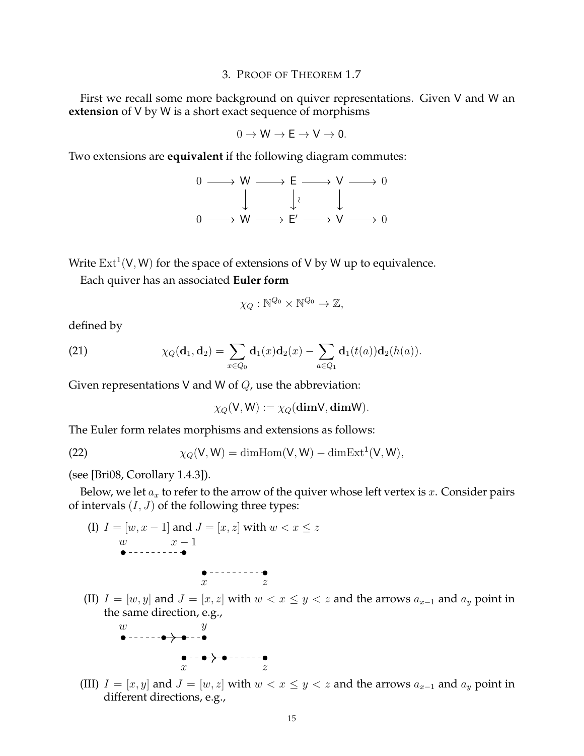### 3. PROOF OF THEOREM 1.7

First we recall some more background on quiver representations. Given V and W an **extension** of V by W is a short exact sequence of morphisms

$$
0\to W\to E\to V\to 0.
$$

Two extensions are **equivalent** if the following diagram commutes:

$$
0 \longrightarrow W \longrightarrow E \longrightarrow V \longrightarrow 0
$$
  

$$
\downarrow \qquad \downarrow \qquad \downarrow
$$
  

$$
0 \longrightarrow W \longrightarrow E' \longrightarrow V \longrightarrow 0
$$

Write  $\mathrm{Ext}^1(\mathsf{V},\mathsf{W})$  for the space of extensions of  $\mathsf{V}$  by  $\mathsf{W}$  up to equivalence.

Each quiver has an associated **Euler form**

$$
\chi_Q : \mathbb{N}^{Q_0} \times \mathbb{N}^{Q_0} \to \mathbb{Z},
$$

defined by

(21) 
$$
\chi_Q(\mathbf{d}_1, \mathbf{d}_2) = \sum_{x \in Q_0} \mathbf{d}_1(x) \mathbf{d}_2(x) - \sum_{a \in Q_1} \mathbf{d}_1(t(a)) \mathbf{d}_2(h(a)).
$$

Given representations V and W of *Q*, use the abbreviation:

$$
\chi_Q(\mathsf{V},\mathsf{W}) := \chi_Q(\mathbf{dimV},\mathbf{dimW}).
$$

The Euler form relates morphisms and extensions as follows:

(22) 
$$
\chi_Q(V,W) = \dim \text{Hom}(V,W) - \dim \text{Ext}^1(V,W),
$$

(see [Bri08, Corollary 1.4.3]).

Below, we let  $a_x$  to refer to the arrow of the quiver whose left vertex is  $x$ . Consider pairs of intervals  $(I, J)$  of the following three types:

(I) 
$$
I = [w, x - 1]
$$
 and  $J = [x, z]$  with  $w < x \leq z$ 

\n $w$ 

\n $x - 1$ 

\n $\bullet$ 

\n $x$ 

\n $z$ 

\n(II)  $I = [w, y]$  and  $J = [x, z]$  with  $w < x \leq y < y$ , the same direction, e.g.,

\n $w$ 

\n $y$ 

\n $\bullet$ 

\n $\bullet$ 

\n $\bullet$ 

\n $\bullet$ 

\n $\bullet$ 

\n $\bullet$ 

\n $\bullet$ 

\n $\bullet$ 

\n $\bullet$ 

\n $\bullet$ 

\n $\bullet$ 

\n $\bullet$ 

\n $\bullet$ 

\n $\bullet$ 

\n $\bullet$ 

\n $\bullet$ 

\n $\bullet$ 

\n $\bullet$ 

\n $\bullet$ 

\n $\bullet$ 

\n $\bullet$ 

\n $\bullet$ 

\n $\bullet$ 

\n $\bullet$ 

\n $\bullet$ 

\n $\bullet$ 

\n $\bullet$ 

\n $\bullet$ 

\n $\bullet$ 

\n $\bullet$ 

\n $\bullet$ 

\n $\bullet$ 

\n $\bullet$ 

\n $\bullet$ 

\n $\bullet$ 

\n $\bullet$ 

\n $\bullet$ 

\n $\bullet$ 

\n

**e** - - **e**  $\rightarrow$  **e** - - - - - - **e**  $z$ 

(III)  $I = [x, y]$  and  $J = [w, z]$  with  $w < x \leq y < z$  and the arrows  $a_{x-1}$  and  $a_y$  point in different directions, e.g.,

 $\overline{z}$  and the arrows  $a_{x-1}$  and  $a_y$  point in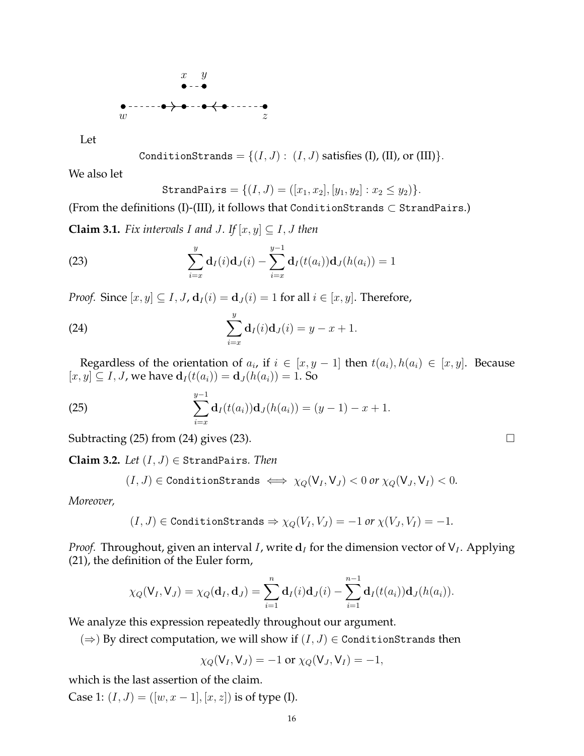

Let

$$
{\tt ConditionStrands}=\{(I,J):\ (I,J)\ {\rm satisfies}\ ({\rm I}),({\rm II}),\ {\rm or}\ ({\rm III})\}.
$$

We also let

$$
\mathtt{StrandPairs} = \{ (I, J) = ([x_1, x_2], [y_1, y_2] : x_2 \le y_2) \}.
$$

(From the definitions (I)-(III), it follows that ConditionStrands *⊂* StrandPairs.)

**Claim 3.1.** *Fix intervals I* and *J*. If  $[x, y] \subseteq I$ , *J* then

(23) 
$$
\sum_{i=x}^{y} \mathbf{d}_{I}(i)\mathbf{d}_{J}(i) - \sum_{i=x}^{y-1} \mathbf{d}_{I}(t(a_{i}))\mathbf{d}_{J}(h(a_{i})) = 1
$$

*Proof.* Since  $[x, y] \subseteq I$ ,  $J$ ,  $\mathbf{d}_I(i) = \mathbf{d}_J(i) = 1$  for all  $i \in [x, y]$ . Therefore,

(24) 
$$
\sum_{i=x}^{y} d_{I}(i) d_{J}(i) = y - x + 1.
$$

Regardless of the orientation of  $a_i$ , if  $i \in [x, y - 1]$  then  $t(a_i), h(a_i) \in [x, y]$ . Because  $[x, y] \subseteq I$ , *J*, we have  $\mathbf{d}_I(t(a_i)) = \mathbf{d}_J(h(a_i)) = 1$ . So

(25) 
$$
\sum_{i=x}^{y-1} \mathbf{d}_I(t(a_i)) \mathbf{d}_J(h(a_i)) = (y-1) - x + 1.
$$

Subtracting (25) from (24) gives (23).

**Claim 3.2.** *Let*  $(I, J) \in$  StrandPairs. *Then* 

$$
(I,J)\in\text{ConditionStrands}\iff \chi_Q(\mathsf{V}_I,\mathsf{V}_J)<0\text{ or }\chi_Q(\mathsf{V}_J,\mathsf{V}_I)<0.
$$

*Moreover,*

$$
(I, J) \in \text{ConditionStrands} \Rightarrow \chi_Q(V_I, V_J) = -1 \text{ or } \chi(V_J, V_I) = -1.
$$

*Proof.* Throughout, given an interval *I*, write **d***<sup>I</sup>* for the dimension vector of V*<sup>I</sup>* . Applying (21), the definition of the Euler form,

$$
\chi_Q(\mathsf{V}_I,\mathsf{V}_J)=\chi_Q(\mathbf{d}_I,\mathbf{d}_J)=\sum_{i=1}^n\mathbf{d}_I(i)\mathbf{d}_J(i)-\sum_{i=1}^{n-1}\mathbf{d}_I(t(a_i))\mathbf{d}_J(h(a_i)).
$$

We analyze this expression repeatedly throughout our argument.

( $\Rightarrow$ ) By direct computation, we will show if (*I*, *J*) ∈ ConditionStrands then

$$
\chi_Q(\mathsf{V}_I,\mathsf{V}_J)=-1 \text{ or } \chi_Q(\mathsf{V}_J,\mathsf{V}_I)=-1,
$$

which is the last assertion of the claim.

Case 1:  $(I, J) = ([w, x – 1], [x, z])$  is of type (I).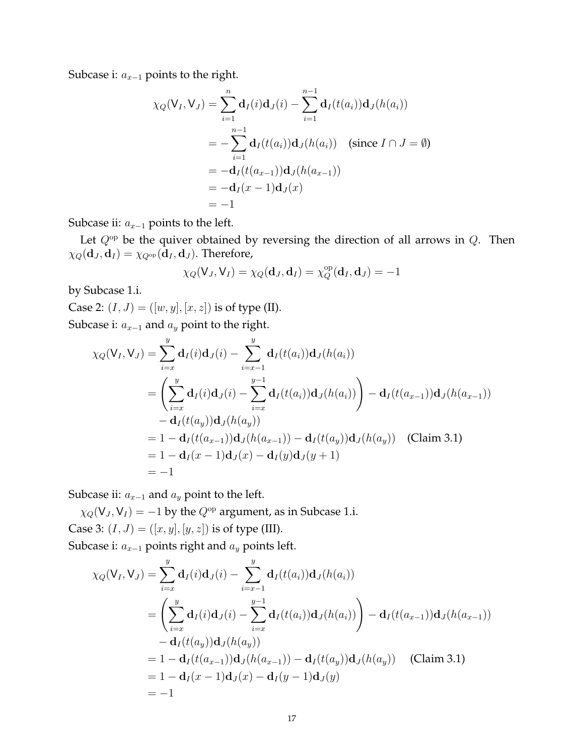Subcase i: *a<sup>x</sup>−*<sup>1</sup> points to the right.

$$
\chi_Q(V_I, V_J) = \sum_{i=1}^n \mathbf{d}_I(i)\mathbf{d}_J(i) - \sum_{i=1}^{n-1} \mathbf{d}_I(t(a_i))\mathbf{d}_J(h(a_i))
$$
  
=  $-\sum_{i=1}^{n-1} \mathbf{d}_I(t(a_i))\mathbf{d}_J(h(a_i))$  (since  $I \cap J = \emptyset$ )  
=  $-\mathbf{d}_I(t(a_{x-1}))\mathbf{d}_J(h(a_{x-1}))$   
=  $-\mathbf{d}_I(x-1)\mathbf{d}_J(x)$   
=  $-1$ 

Subcase ii: *a<sup>x</sup>−*<sup>1</sup> points to the left.

Let *Q*op be the quiver obtained by reversing the direction of all arrows in *Q*. Then  $\chi_Q(\mathbf{d}_J, \mathbf{d}_I) = \chi_{Q^{\rm op}}(\mathbf{d}_I, \mathbf{d}_J)$ . Therefore,

$$
\chi_Q(\mathsf{V}_J,\mathsf{V}_I)=\chi_Q(\mathbf{d}_J,\mathbf{d}_I)=\chi^{\rm op}_Q(\mathbf{d}_I,\mathbf{d}_J)=-1
$$

by Subcase 1.i.

Case 2:  $(I, J) = ([w, y], [x, z])$  is of type (II).

Subcase i:  $a_{x-1}$  and  $a_y$  point to the right.

$$
\chi_Q(V_I, V_J) = \sum_{i=x}^{y} d_I(i) d_J(i) - \sum_{i=x-1}^{y} d_I(t(a_i)) d_J(h(a_i))
$$
  
\n
$$
= \left( \sum_{i=x}^{y} d_I(i) d_J(i) - \sum_{i=x}^{y-1} d_I(t(a_i)) d_J(h(a_i)) \right) - d_I(t(a_{x-1})) d_J(h(a_{x-1}))
$$
  
\n
$$
- d_I(t(a_y)) d_J(h(a_y))
$$
  
\n
$$
= 1 - d_I(t(a_{x-1})) d_J(h(a_{x-1})) - d_I(t(a_y)) d_J(h(a_y)) \quad \text{(Claim 3.1)}
$$
  
\n
$$
= 1 - d_I(x - 1) d_J(x) - d_I(y) d_J(y + 1)
$$
  
\n
$$
= -1
$$

Subcase ii:  $a_{x-1}$  and  $a_y$  point to the left.

 $\chi_Q(V_J, V_I) = -1$  by the  $Q^{op}$  argument, as in Subcase 1.i. Case 3:  $(I, J) = ([x, y], [y, z])$  is of type (III).

Subcase i: *a<sup>x</sup>−*<sup>1</sup> points right and *a<sup>y</sup>* points left.

$$
\chi_Q(V_I, V_J) = \sum_{i=x}^{y} d_I(i) d_J(i) - \sum_{i=x-1}^{y} d_I(t(a_i)) d_J(h(a_i))
$$
  
\n
$$
= \left( \sum_{i=x}^{y} d_I(i) d_J(i) - \sum_{i=x}^{y-1} d_I(t(a_i)) d_J(h(a_i)) \right) - d_I(t(a_{x-1})) d_J(h(a_{x-1}))
$$
  
\n
$$
- d_I(t(a_y)) d_J(h(a_y))
$$
  
\n
$$
= 1 - d_I(t(a_{x-1})) d_J(h(a_{x-1})) - d_I(t(a_y)) d_J(h(a_y)) \quad \text{(Claim 3.1)}
$$
  
\n
$$
= 1 - d_I(x - 1) d_J(x) - d_I(y - 1) d_J(y)
$$
  
\n
$$
= -1
$$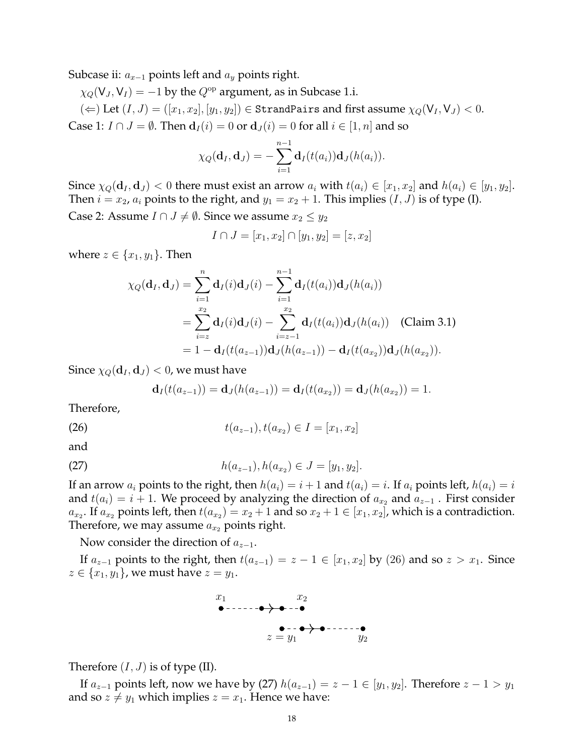Subcase ii: *a<sup>x</sup>−*<sup>1</sup> points left and *a<sup>y</sup>* points right.

 $\chi_Q(V_J, V_I) = -1$  by the  $Q^{op}$  argument, as in Subcase 1.i.

 $(\Leftarrow)$  Let  $(I, J) = ([x_1, x_2], [y_1, y_2]) \in$  StrandPairs and first assume  $\chi_Q(\mathsf{V}_I, \mathsf{V}_J) < 0$ . Case 1:  $I \cap J = \emptyset$ . Then  $\mathbf{d}_I(i) = 0$  or  $\mathbf{d}_J(i) = 0$  for all  $i \in [1, n]$  and so

$$
\chi_Q(\mathbf{d}_I, \mathbf{d}_J) = -\sum_{i=1}^{n-1} \mathbf{d}_I(t(a_i)) \mathbf{d}_J(h(a_i)).
$$

Since  $\chi_Q(\mathbf{d}_I, \mathbf{d}_J)$  < 0 there must exist an arrow  $a_i$  with  $t(a_i) \in [x_1, x_2]$  and  $h(a_i) \in [y_1, y_2]$ . Then  $i = x_2$ ,  $a_i$  points to the right, and  $y_1 = x_2 + 1$ . This implies  $(I, J)$  is of type (I).

Case 2: Assume *I* ∩ *J*  $\neq$  *Ø*. Since we assume  $x_2$  ≤  $y_2$ 

$$
I \cap J = [x_1, x_2] \cap [y_1, y_2] = [z, x_2]
$$

where  $z \in \{x_1, y_1\}$ . Then

$$
\chi_Q(\mathbf{d}_I, \mathbf{d}_J) = \sum_{i=1}^n \mathbf{d}_I(i) \mathbf{d}_J(i) - \sum_{i=1}^{n-1} \mathbf{d}_I(t(a_i)) \mathbf{d}_J(h(a_i))
$$
  
= 
$$
\sum_{i=z}^{x_2} \mathbf{d}_I(i) \mathbf{d}_J(i) - \sum_{i=z-1}^{x_2} \mathbf{d}_I(t(a_i)) \mathbf{d}_J(h(a_i))
$$
 (Claim 3.1)  
= 
$$
1 - \mathbf{d}_I(t(a_{z-1})) \mathbf{d}_J(h(a_{z-1})) - \mathbf{d}_I(t(a_{x_2})) \mathbf{d}_J(h(a_{x_2})).
$$

Since  $\chi_Q(\mathbf{d}_I, \mathbf{d}_J) < 0$ , we must have

$$
\mathbf{d}_I(t(a_{z-1})) = \mathbf{d}_J(h(a_{z-1})) = \mathbf{d}_I(t(a_{x_2})) = \mathbf{d}_J(h(a_{x_2})) = 1.
$$

Therefore,

(26) 
$$
t(a_{z-1}), t(a_{x_2}) \in I = [x_1, x_2]
$$

and

(27) 
$$
h(a_{z-1}), h(a_{x_2}) \in J = [y_1, y_2].
$$

If an arrow  $a_i$  points to the right, then  $h(a_i) = i + 1$  and  $t(a_i) = i$ . If  $a_i$  points left,  $h(a_i) = i$ and  $t(a_i) = i + 1$ . We proceed by analyzing the direction of  $a_x$ , and  $a_{z-1}$ . First consider  $a_{x_2}$ . If  $a_{x_2}$  points left, then  $t(a_{x_2}) = x_2 + 1$  and so  $x_2 + 1 \in [x_1, x_2]$ , which is a contradiction. Therefore, we may assume  $a_{x}$  points right.

Now consider the direction of *a<sup>z</sup>−*<sup>1</sup>.

If  $a_{z-1}$  points to the right, then  $t(a_{z-1}) = z - 1 \in [x_1, x_2]$  by (26) and so  $z > x_1$ . Since *z* ∈ {*x*<sub>1</sub>*, y*<sub>1</sub>}, we must have *z* = *y*<sub>1</sub>.



Therefore  $(I, J)$  is of type  $(II)$ .

If  $a_{z-1}$  points left, now we have by (27)  $h(a_{z-1}) = z - 1 \in [y_1, y_2]$ . Therefore  $z - 1 > y_1$ and so  $z \neq y_1$  which implies  $z = x_1$ . Hence we have: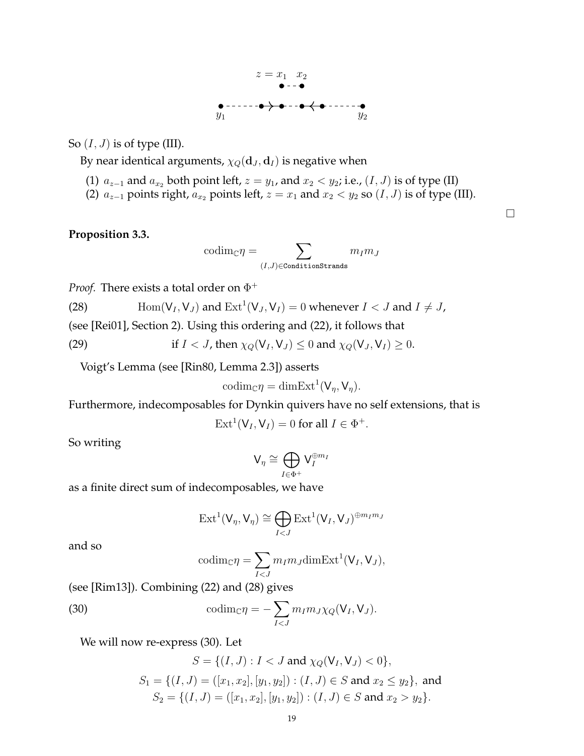

So  $(I, J)$  is of type (III).

By near identical arguments,  $\chi_Q(\mathbf{d}_J, \mathbf{d}_I)$  is negative when

- (1)  $a_{z-1}$  and  $a_{x_2}$  both point left,  $z = y_1$ , and  $x_2 < y_2$ ; i.e.,  $(I, J)$  is of type (II)
- (2)  $a_{z-1}$  points right,  $a_{x_2}$  points left,  $z = x_1$  and  $x_2 < y_2$  so  $(I, J)$  is of type (III).

## **Proposition 3.3.**

$$
{\rm codim}_{\mathbb{C}} \eta = \sum_{(I,J) \in {\tt ConditionStrands}} m_I m_J
$$

*Proof.* There exists a total order on  $\Phi^+$ 

(28) 
$$
\text{Hom}(V_I, V_J) \text{ and } \text{Ext}^1(V_J, V_I) = 0 \text{ whenever } I < J \text{ and } I \neq J,
$$

(see [Rei01], Section 2). Using this ordering and (22), it follows that

(29) if 
$$
I < J
$$
, then  $\chi_Q(\mathsf{V}_I, \mathsf{V}_J) \leq 0$  and  $\chi_Q(\mathsf{V}_J, \mathsf{V}_I) \geq 0$ .

Voigt's Lemma (see [Rin80, Lemma 2.3]) asserts

$$
\mathrm{codim}_{\mathbb{C}} \eta = \mathrm{dim} \mathrm{Ext}^1(\mathsf{V}_{\eta}, \mathsf{V}_{\eta}).
$$

Furthermore, indecomposables for Dynkin quivers have no self extensions, that is

$$
Ext1(VI, VI) = 0 for all  $I \in \Phi^{+}$ .
$$

So writing

$$
\mathsf{V}_{\eta} \cong \bigoplus_{I \in \Phi^+} \mathsf{V}_I^{\oplus m_I}
$$

as a finite direct sum of indecomposables, we have

$$
\mathrm{Ext}^1(\mathsf{V}_\eta,\mathsf{V}_\eta) \cong \bigoplus_{I < J} \mathrm{Ext}^1(\mathsf{V}_I,\mathsf{V}_J)^{\oplus m_I m_J}
$$

and so

$$
\mathrm{codim}_{\mathbb{C}} \eta = \sum_{I < J} m_I m_J \mathrm{dim} \mathrm{Ext}^1(\mathsf{V}_I, \mathsf{V}_J),
$$

(see [Rim13]). Combining (22) and (28) gives

(30) 
$$
\operatorname{codim}_{\mathbb{C}} \eta = -\sum_{I < J} m_I m_J \chi_Q(\mathsf{V}_I, \mathsf{V}_J).
$$

We will now re-express (30). Let

$$
S = \{(I, J) : I < J \text{ and } \chi_Q(\mathsf{V}_I, \mathsf{V}_J) < 0\},
$$
\n
$$
S_1 = \{(I, J) = ([x_1, x_2], [y_1, y_2]) : (I, J) \in S \text{ and } x_2 \le y_2\}, \text{ and }
$$
\n
$$
S_2 = \{(I, J) = ([x_1, x_2], [y_1, y_2]) : (I, J) \in S \text{ and } x_2 > y_2\}.
$$

 $\Box$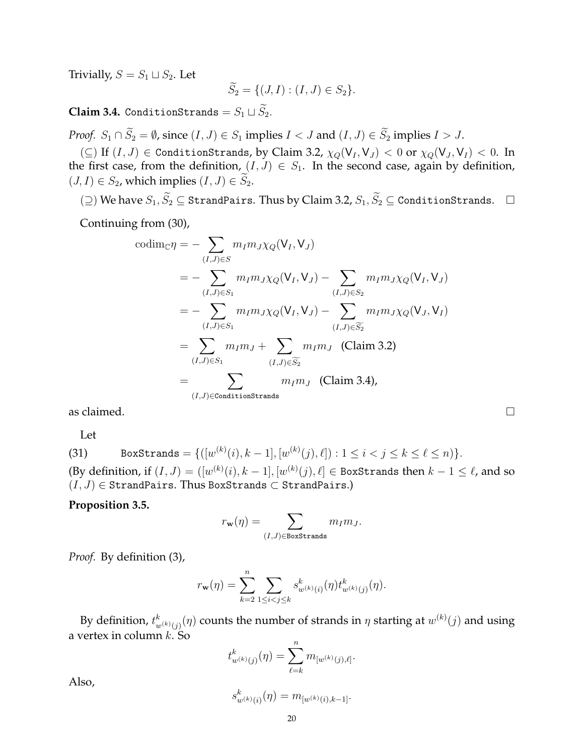Trivially,  $S = S_1 \sqcup S_2$ . Let

$$
\widetilde{S}_2 = \{ (J, I) : (I, J) \in S_2 \}.
$$

**Claim 3.4.** ConditionStrands =  $S_1 \sqcup \widetilde{S}_2$ .

*Proof.*  $S_1 \cap \widetilde{S}_2 = \emptyset$ , since  $(I, J) \in S_1$  implies  $I < J$  and  $(I, J) \in \widetilde{S}_2$  implies  $I > J$ .

 $(\subseteq)$  If  $(I, J) \in$  ConditionStrands, by Claim 3.2,  $\chi_Q(V_I, V_J) < 0$  or  $\chi_Q(V_J, V_I) < 0$ . In the first case, from the definition,  $(I, J) \in S_1$ . In the second case, again by definition,  $(J, I) \in S_2$ , which implies  $(I, J) \in \widetilde{S}_2$ .

 $(2)$  We have  $S_1$ ,  $\widetilde{S}_2$  ⊆ StrandPairs. Thus by Claim 3.2,  $S_1$ ,  $\widetilde{S}_2$  ⊆ ConditionStrands.  $□$ 

Continuing from (30),

codimC*η* = *−* ∑ (*I,J*)*∈S mImJχQ*(V*<sup>I</sup> ,* V*<sup>J</sup>* ) = *−* ∑ (*I,J*)*∈S*<sup>1</sup> *mImJχQ*(V*<sup>I</sup> ,* V*<sup>J</sup>* ) *−* ∑ (*I,J*)*∈S*<sup>2</sup> *mImJχQ*(V*<sup>I</sup> ,* V*<sup>J</sup>* ) = *−* ∑ (*I,J*)*∈S*<sup>1</sup> *mImJχQ*(V*<sup>I</sup> ,* V*<sup>J</sup>* ) *−* ∑ (*I,J*)*∈S*f<sup>2</sup> *mImJχQ*(V*<sup>J</sup> ,* V*<sup>I</sup>* ) = ∑ (*I,J*)*∈S*<sup>1</sup> *mIm<sup>J</sup>* + ∑ (*I,J*)*∈S*f<sup>2</sup> *mIm<sup>J</sup>* (Claim 3.2) = ∑ (*I,J*)*∈*ConditionStrands *mIm<sup>J</sup>* (Claim 3.4),

as claimed.  $\Box$ 

Let

(31) BoxStrands = {([w<sup>(k)</sup>(i), k-1], [w<sup>(k)</sup>(j), \ell]): 1 \le i < j \le k \le \ell \le n)}.  
(By definition, if 
$$
(I, J) = ([w(k)(i), k-1], [w(k)(j), \ell] \in BoxStrands then k-1 \le \ell, and so  $(I, J) \in$  StrandPairs. Thus BoxStrands  $\subset$  StrandPairs.)
$$

**Proposition 3.5.**

$$
r_{\mathbf{w}}(\eta) = \sum_{(I,J) \in \text{BoxStrands}} m_I m_J.
$$

*Proof.* By definition (3),

$$
r_{\mathbf{w}}(\eta) = \sum_{k=2}^{n} \sum_{1 \leq i < j \leq k} s_{w^{(k)}(i)}^{k}(\eta) t_{w^{(k)}(j)}^{k}(\eta).
$$

By definition,  $t^k_{w^{(k)}(j)}(\eta)$  counts the number of strands in  $\eta$  starting at  $w^{(k)}(j)$  and using a vertex in column *k*. So

$$
t_{w^{(k)}(j)}^k(\eta) = \sum_{\ell=k}^n m_{[w^{(k)}(j),\ell]}.
$$

Also,

$$
s_{w^{(k)}(i)}^k(\eta) = m_{[w^{(k)}(i),k-1]}.
$$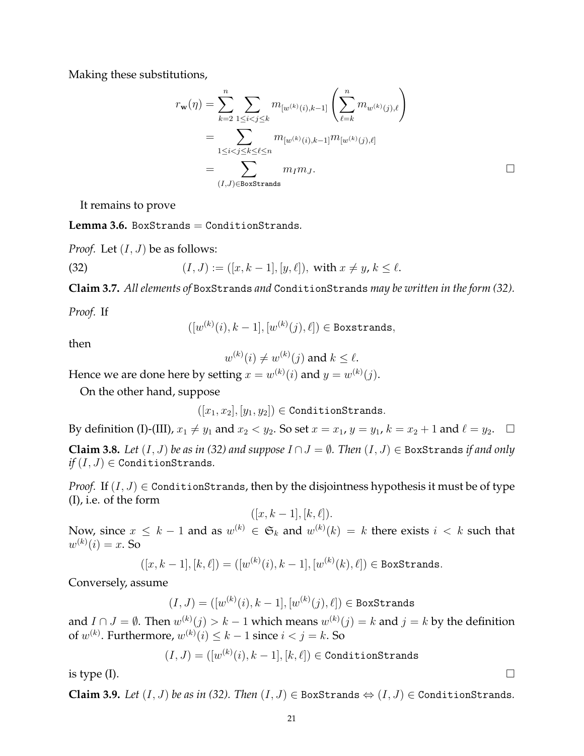Making these substitutions,

$$
r_{\mathbf{w}}(\eta) = \sum_{k=2}^{n} \sum_{\substack{1 \leq i < j \leq k}} m_{[w^{(k)}(i), k-1]} \left( \sum_{\ell=k}^{n} m_{w^{(k)}(j), \ell} \right)
$$
\n
$$
= \sum_{\substack{1 \leq i < j \leq k \leq \ell \leq n}} m_{[w^{(k)}(i), k-1]} m_{[w^{(k)}(j), \ell]}
$$
\n
$$
= \sum_{(I,J) \in \text{BoxStrands}} m_{I} m_{J}.
$$

It remains to prove

**Lemma 3.6.** BoxStrands = ConditionStrands*.*

*Proof.* Let  $(I, J)$  be as follows:

(32) 
$$
(I, J) := ([x, k-1], [y, \ell]), \text{ with } x \neq y, k \leq \ell.
$$

**Claim 3.7.** *All elements of* BoxStrands *and* ConditionStrands *may be written in the form (32).*

*Proof.* If

 $([w^{(k)}(i), k − 1], [w^{(k)}(j), \ell]) \in$  Boxstrands,

then

 $w^{(k)}(i) \neq w^{(k)}(j)$  and  $k \leq \ell$ .

Hence we are done here by setting  $x = w^{(k)}(i)$  and  $y = w^{(k)}(j)$ .

On the other hand, suppose

 $([x_1, x_2], [y_1, y_2]) \in$  ConditionStrands.

By definition (I)-(III),  $x_1 \neq y_1$  and  $x_2 < y_2$ . So set  $x = x_1$ ,  $y = y_1$ ,  $k = x_2 + 1$  and  $\ell = y_2$ .  $\Box$ **Claim 3.8.** *Let* (*I, J*) *be as in (32) and suppose I ∩J* = *∅. Then* (*I, J*) *∈* BoxStrands *if and only*  $if(I, J) \in$  ConditionStrands.

*Proof.* If  $(I, J) \in$  ConditionStrands, then by the disjointness hypothesis it must be of type (I), i.e. of the form

$$
([x, k-1], [k, \ell]).
$$

Now, since  $x \leq k-1$  and as  $w^{(k)} \in \mathfrak{S}_k$  and  $w^{(k)}(k) = k$  there exists  $i < k$  such that  $w^{(k)}(i) = x$ . So

$$
([x, k-1], [k, \ell]) = ([w^{(k)}(i), k-1], [w^{(k)}(k), \ell]) \in \texttt{BoxStrands}.
$$

Conversely, assume

$$
(I, J) = ([w^{(k)}(i), k - 1], [w^{(k)}(j), \ell]) \in \text{BoxStrands}
$$

and  $I \cap J = \emptyset$ . Then  $w^{(k)}(j) > k - 1$  which means  $w^{(k)}(j) = k$  and  $j = k$  by the definition of  $w^{(k)}$ . Furthermore,  $w^{(k)}(i) \leq k-1$  since  $i < j = k$ . So

$$
(I, J) = ([w^{(k)}(i), k-1], [k, \ell]) \in \text{ConditionStrands}
$$

is type (I).  $\hfill \square$ 

**Claim 3.9.** *Let* (*I, J*) *be as in (32). Then* (*I, J*) *∈* BoxStrands *⇔* (*I, J*) *∈* ConditionStrands*.*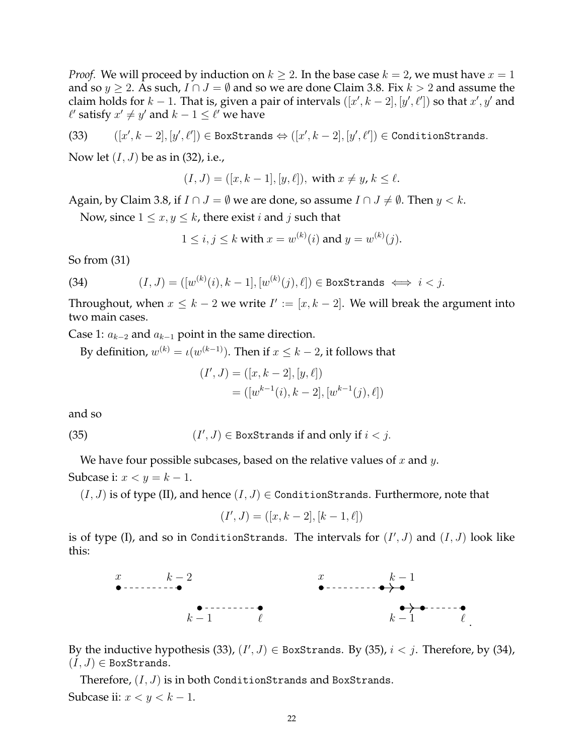*Proof.* We will proceed by induction on  $k \geq 2$ . In the base case  $k = 2$ , we must have  $x = 1$ and so  $y \ge 2$ . As such,  $I \cap J = \emptyset$  and so we are done Claim 3.8. Fix  $k > 2$  and assume the claim holds for  $k - 1$ . That is, given a pair of intervals  $([x', k - 2], [y', \ell'])$  so that  $x', y'$  and  $\ell'$  satisfy  $x' \neq y'$  and  $k-1 \leq \ell'$  we have

$$
(33) \qquad ([x',k-2],[y',\ell'])\in \text{BoxStrands} \Leftrightarrow ([x',k-2],[y',\ell'])\in \text{ConditionStrands}.
$$

Now let (*I, J*) be as in (32), i.e.,

$$
(I, J) = ([x, k - 1], [y, \ell]),
$$
 with  $x \neq y, k \leq \ell.$ 

Again, by Claim 3.8, if  $I \cap J = \emptyset$  we are done, so assume  $I \cap J \neq \emptyset$ . Then  $y < k$ .

Now, since  $1 \leq x, y \leq k$ , there exist *i* and *j* such that

$$
1 \le i, j \le k
$$
 with  $x = w^{(k)}(i)$  and  $y = w^{(k)}(j)$ .

So from (31)

(34) 
$$
(I, J) = ([w^{(k)}(i), k-1], [w^{(k)}(j), \ell]) \in \text{BoxStrands} \iff i < j.
$$

Throughout, when  $x \leq k-2$  we write  $I' := [x, k-2]$ . We will break the argument into two main cases.

Case 1: *a<sup>k</sup>−*<sup>2</sup> and *a<sup>k</sup>−*<sup>1</sup> point in the same direction.

By definition,  $w^{(k)} = \iota(w^{(k-1)})$ . Then if  $x \leq k-2$ , it follows that

$$
(I', J) = ([x, k - 2], [y, \ell])
$$
  
= ([w<sup>k-1</sup>(i), k - 2], [w<sup>k-1</sup>(j), \ell])

and so

(35) 
$$
(I', J) \in \text{BoxStrands if and only if } i < j.
$$

We have four possible subcases, based on the relative values of *x* and *y*. Subcase i:  $x < y = k - 1$ .

 $(I, J)$  is of type (II), and hence  $(I, J) \in$  ConditionStrands. Furthermore, note that

$$
(I', J) = ([x, k - 2], [k - 1, \ell])
$$

is of type (I), and so in ConditionStrands. The intervals for  $(I',J)$  and  $(I,J)$  look like this:



By the inductive hypothesis (33),  $(I', J) \in$  BoxStrands. By (35),  $i < j$ . Therefore, by (34),  $(I, J) \in$  BoxStrands.

Therefore, (*I, J*) is in both ConditionStrands and BoxStrands. Subcase ii: *x < y < k −* 1.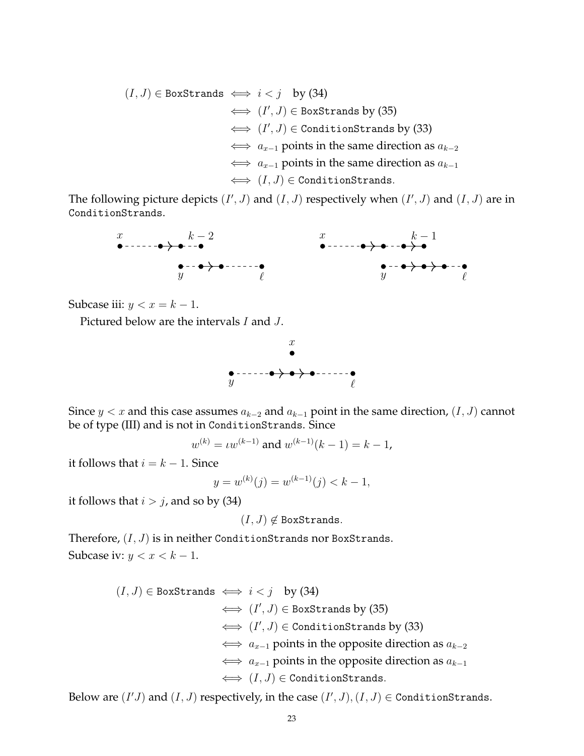$$
(I, J) \in BoxStrands \iff i < j \quad \text{by (34)}
$$
\n
$$
\iff (I', J) \in BoxStrands by (35)
$$
\n
$$
\iff (I', J) \in ConditionStrands by (33)
$$
\n
$$
\iff a_{x-1} \text{ points in the same direction as } a_{k-2}
$$
\n
$$
\iff a_{x-1} \text{ points in the same direction as } a_{k-1}
$$
\n
$$
\iff (I, J) \in ConditionStrands.
$$

The following picture depicts  $(I', J)$  and  $(I, J)$  respectively when  $(I', J)$  and  $(I, J)$  are in ConditionStrands.



Subcase iii:  $y < x = k - 1$ .

Pictured below are the intervals *I* and *J*.



Since *y < x* and this case assumes *a<sup>k</sup>−*<sup>2</sup> and *a<sup>k</sup>−*<sup>1</sup> point in the same direction, (*I, J*) cannot be of type (III) and is not in ConditionStrands. Since

$$
w^{(k)} = \iota w^{(k-1)}
$$
 and  $w^{(k-1)}(k-1) = k-1$ ,

it follows that  $i = k - 1$ . Since

$$
y = w^{(k)}(j) = w^{(k-1)}(j) < k - 1,
$$

it follows that  $i > j$ , and so by (34)

 $(I, J) \notin$  BoxStrands.

Therefore, (*I, J*) is in neither ConditionStrands nor BoxStrands. Subcase iv:  $y < x < k - 1$ .

> $(I, J)$  ∈ BoxStrands  $\iff i < j$  by (34) *⇐⇒* (*I ′ , J*) *∈* BoxStrands by (35) *⇐⇒* (*I ′ , J*) *∈* ConditionStrands by (33) *⇐⇒ a<sup>x</sup>−*<sup>1</sup> points in the opposite direction as *a<sup>k</sup>−*<sup>2</sup> *⇐⇒ a<sup>x</sup>−*<sup>1</sup> points in the opposite direction as *a<sup>k</sup>−*<sup>1</sup> *⇐⇒* (*I, J*) *∈* ConditionStrands*.*

Below are  $(I'J)$  and  $(I, J)$  respectively, in the case  $(I', J), (I, J) \in$  ConditionStrands.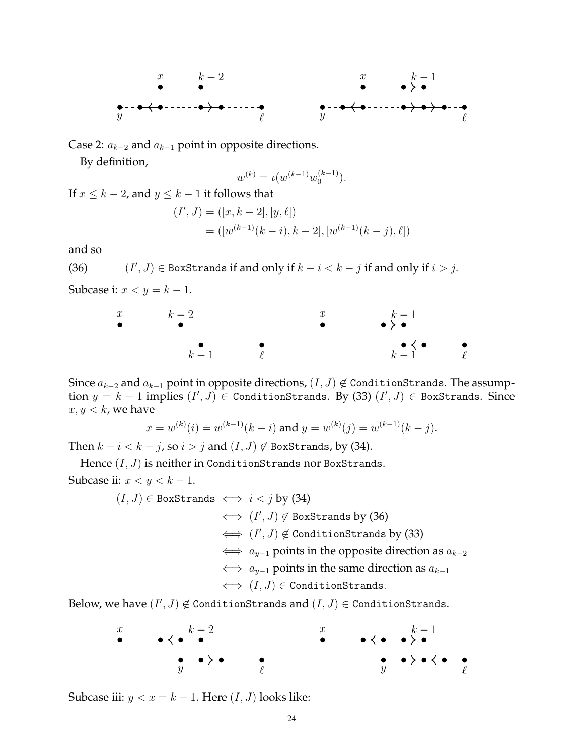

Case 2: *a<sup>k</sup>−*<sup>2</sup> and *a<sup>k</sup>−*<sup>1</sup> point in opposite directions.

By definition,

$$
w^{(k)} = \iota(w^{(k-1)}w_0^{(k-1)}).
$$

If  $x \leq k - 2$ , and  $y \leq k - 1$  it follows that

$$
(I', J) = ([x, k - 2], [y, \ell])
$$
  
= ([w<sup>(k-1)</sup>(k - i), k - 2], [w<sup>(k-1)</sup>(k - j), \ell])

and so

(36) (*I ′ , J*) *∈* BoxStrands if and only if *k − i < k − j* if and only if *i > j.*

Subcase i:  $x < y = k - 1$ .



Since *a<sup>k</sup>−*<sup>2</sup> and *a<sup>k</sup>−*<sup>1</sup> point in opposite directions, (*I, J*) *̸∈* ConditionStrands. The assumption *y* = *k −* 1 implies (*I ′ , J*) *∈* ConditionStrands. By (33) (*I ′ , J*) *∈* BoxStrands. Since  $x, y < k$ , we have

$$
x = w^{(k)}(i) = w^{(k-1)}(k-i)
$$
 and  $y = w^{(k)}(j) = w^{(k-1)}(k-j)$ .

Then  $k - i < k - j$ , so  $i > j$  and  $(I, J) \notin$  BoxStrands, by (34).

Hence  $(I, J)$  is neither in ConditionStrands nor BoxStrands. Subcase ii: *x < y < k −* 1.

$$
(I, J) \in \text{BoxStrands} \iff i < j \text{ by (34)}
$$
\n
$$
\iff (I', J) \notin \text{BoxStrands by (36)}
$$
\n
$$
\iff (I', J) \notin \text{Conditionals by (33)}
$$
\n
$$
\iff a_{y-1} \text{ points in the opposite direction as } a_{k-2}
$$
\n
$$
\iff a_{y-1} \text{ points in the same direction as } a_{k-1}
$$
\n
$$
\iff (I, J) \in \text{Conditionals.}
$$

 $\textsf{Below, we have}$   $(I',J) \not\in \textsf{ConditionStrands}$  and  $(I,J) \in \textsf{ConditionStrands}.$ 



Subcase iii:  $y < x = k - 1$ . Here  $(I, J)$  looks like: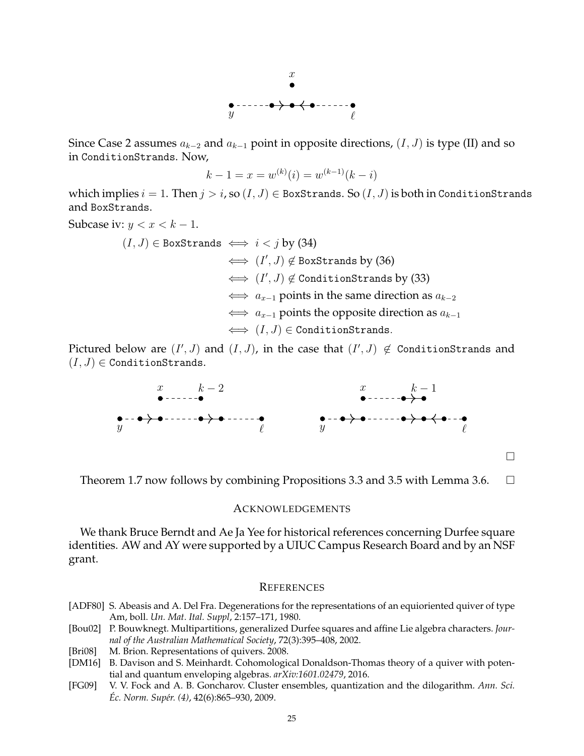

Since Case 2 assumes *a<sup>k</sup>−*<sup>2</sup> and *a<sup>k</sup>−*<sup>1</sup> point in opposite directions, (*I, J*) is type (II) and so in ConditionStrands. Now,

$$
k - 1 = x = w^{(k)}(i) = w^{(k-1)}(k - i)
$$

which implies  $i = 1$ . Then  $j > i$ , so  $(I, J) \in$  BoxStrands. So  $(I, J)$  is both in ConditionStrands and BoxStrands.

Subcase iv:  $y < x < k - 1$ .

(*I, J*) *∈* BoxStrands *⇐⇒ i < j* by (34) *⇐⇒* (*I ′ , J*) *̸∈* BoxStrands by (36) *⇐⇒* (*I ′ , J*) *̸∈* ConditionStrands by (33) *⇐⇒ a<sup>x</sup>−*<sup>1</sup> points in the same direction as *a<sup>k</sup>−*<sup>2</sup> *⇐⇒ a<sup>x</sup>−*<sup>1</sup> points the opposite direction as *a<sup>k</sup>−*<sup>1</sup> *⇐⇒* (*I, J*) *∈* ConditionStrands*.*

Pictured below are  $(I',J)$  and  $(I,J)$ , in the case that  $(I',J)\not\in$  ConditionStrands and  $(I, J) \in$  ConditionStrands.



 $\Box$ 

Theorem 1.7 now follows by combining Propositions 3.3 and 3.5 with Lemma 3.6.  $\Box$ 

#### ACKNOWLEDGEMENTS

We thank Bruce Berndt and Ae Ja Yee for historical references concerning Durfee square identities. AW and AY were supported by a UIUC Campus Research Board and by an NSF grant.

#### **REFERENCES**

- [ADF80] S. Abeasis and A. Del Fra. Degenerations for the representations of an equioriented quiver of type Am, boll. *Un. Mat. Ital. Suppl*, 2:157–171, 1980.
- [Bou02] P. Bouwknegt. Multipartitions, generalized Durfee squares and affine Lie algebra characters. *Journal of the Australian Mathematical Society*, 72(3):395–408, 2002.
- [Bri08] M. Brion. Representations of quivers. 2008.
- [DM16] B. Davison and S. Meinhardt. Cohomological Donaldson-Thomas theory of a quiver with potential and quantum enveloping algebras. *arXiv:1601.02479*, 2016.
- [FG09] V. V. Fock and A. B. Goncharov. Cluster ensembles, quantization and the dilogarithm. *Ann. Sci. Ec. Norm. Sup´er. (4) ´* , 42(6):865–930, 2009.